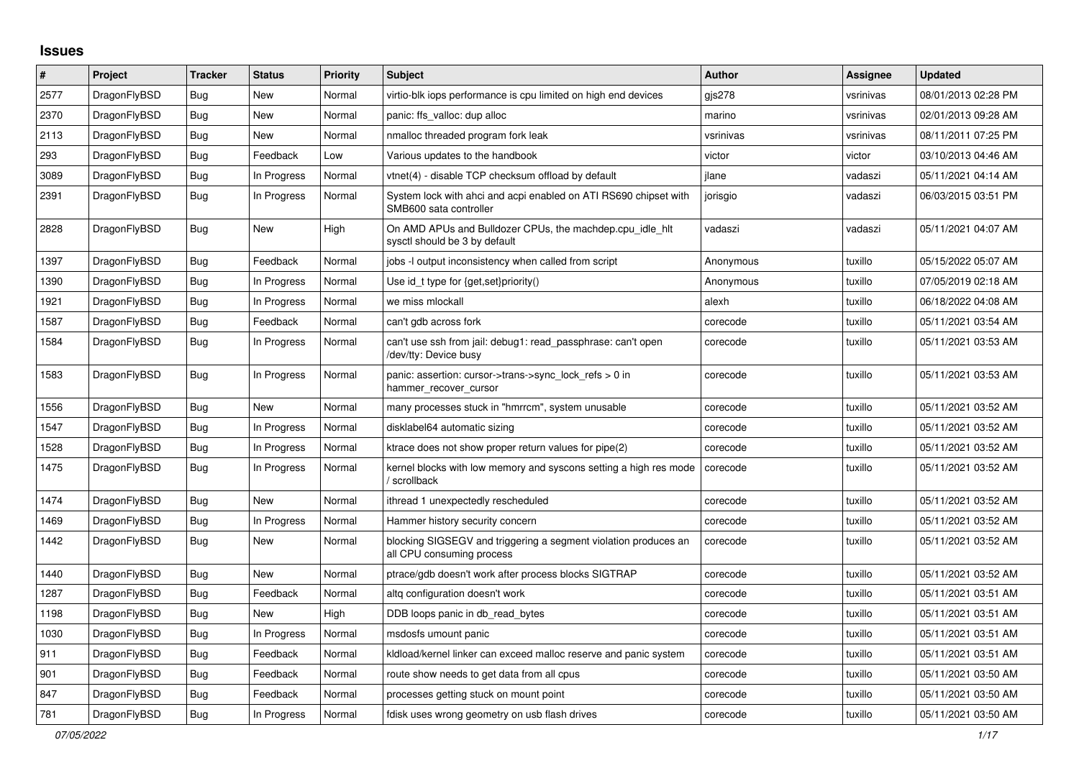## **Issues**

| #    | Project      | <b>Tracker</b> | <b>Status</b> | <b>Priority</b> | <b>Subject</b>                                                                               | <b>Author</b> | <b>Assignee</b> | <b>Updated</b>      |
|------|--------------|----------------|---------------|-----------------|----------------------------------------------------------------------------------------------|---------------|-----------------|---------------------|
| 2577 | DragonFlyBSD | Bug            | New           | Normal          | virtio-blk iops performance is cpu limited on high end devices                               | gis278        | vsrinivas       | 08/01/2013 02:28 PM |
| 2370 | DragonFlyBSD | <b>Bug</b>     | New           | Normal          | panic: ffs_valloc: dup alloc                                                                 | marino        | vsrinivas       | 02/01/2013 09:28 AM |
| 2113 | DragonFlyBSD | <b>Bug</b>     | New           | Normal          | nmalloc threaded program fork leak                                                           | vsrinivas     | vsrinivas       | 08/11/2011 07:25 PM |
| 293  | DragonFlyBSD | Bug            | Feedback      | Low             | Various updates to the handbook                                                              | victor        | victor          | 03/10/2013 04:46 AM |
| 3089 | DragonFlyBSD | <b>Bug</b>     | In Progress   | Normal          | vtnet(4) - disable TCP checksum offload by default                                           | jlane         | vadaszi         | 05/11/2021 04:14 AM |
| 2391 | DragonFlyBSD | <b>Bug</b>     | In Progress   | Normal          | System lock with ahci and acpi enabled on ATI RS690 chipset with<br>SMB600 sata controller   | jorisgio      | vadaszi         | 06/03/2015 03:51 PM |
| 2828 | DragonFlyBSD | <b>Bug</b>     | <b>New</b>    | High            | On AMD APUs and Bulldozer CPUs, the machdep.cpu idle hit<br>sysctl should be 3 by default    | vadaszi       | vadaszi         | 05/11/2021 04:07 AM |
| 1397 | DragonFlyBSD | Bug            | Feedback      | Normal          | jobs -I output inconsistency when called from script                                         | Anonymous     | tuxillo         | 05/15/2022 05:07 AM |
| 1390 | DragonFlyBSD | <b>Bug</b>     | In Progress   | Normal          | Use id_t type for {get,set}priority()                                                        | Anonymous     | tuxillo         | 07/05/2019 02:18 AM |
| 1921 | DragonFlyBSD | <b>Bug</b>     | In Progress   | Normal          | we miss mlockall                                                                             | alexh         | tuxillo         | 06/18/2022 04:08 AM |
| 1587 | DragonFlyBSD | <b>Bug</b>     | Feedback      | Normal          | can't gdb across fork                                                                        | corecode      | tuxillo         | 05/11/2021 03:54 AM |
| 1584 | DragonFlyBSD | Bug            | In Progress   | Normal          | can't use ssh from jail: debug1: read passphrase: can't open<br>/dev/tty: Device busy        | corecode      | tuxillo         | 05/11/2021 03:53 AM |
| 1583 | DragonFlyBSD | Bug            | In Progress   | Normal          | panic: assertion: cursor->trans->sync_lock_refs > 0 in<br>hammer_recover_cursor              | corecode      | tuxillo         | 05/11/2021 03:53 AM |
| 1556 | DragonFlyBSD | <b>Bug</b>     | <b>New</b>    | Normal          | many processes stuck in "hmrrcm", system unusable                                            | corecode      | tuxillo         | 05/11/2021 03:52 AM |
| 1547 | DragonFlyBSD | Bug            | In Progress   | Normal          | disklabel64 automatic sizing                                                                 | corecode      | tuxillo         | 05/11/2021 03:52 AM |
| 1528 | DragonFlyBSD | <b>Bug</b>     | In Progress   | Normal          | ktrace does not show proper return values for pipe(2)                                        | corecode      | tuxillo         | 05/11/2021 03:52 AM |
| 1475 | DragonFlyBSD | Bug            | In Progress   | Normal          | kernel blocks with low memory and syscons setting a high res mode<br>/ scrollback            | corecode      | tuxillo         | 05/11/2021 03:52 AM |
| 1474 | DragonFlyBSD | <b>Bug</b>     | New           | Normal          | ithread 1 unexpectedly rescheduled                                                           | corecode      | tuxillo         | 05/11/2021 03:52 AM |
| 1469 | DragonFlyBSD | Bug            | In Progress   | Normal          | Hammer history security concern                                                              | corecode      | tuxillo         | 05/11/2021 03:52 AM |
| 1442 | DragonFlyBSD | <b>Bug</b>     | <b>New</b>    | Normal          | blocking SIGSEGV and triggering a segment violation produces an<br>all CPU consuming process | corecode      | tuxillo         | 05/11/2021 03:52 AM |
| 1440 | DragonFlyBSD | <b>Bug</b>     | New           | Normal          | ptrace/gdb doesn't work after process blocks SIGTRAP                                         | corecode      | tuxillo         | 05/11/2021 03:52 AM |
| 1287 | DragonFlyBSD | Bug            | Feedback      | Normal          | altg configuration doesn't work                                                              | corecode      | tuxillo         | 05/11/2021 03:51 AM |
| 1198 | DragonFlyBSD | Bug            | <b>New</b>    | High            | DDB loops panic in db_read_bytes                                                             | corecode      | tuxillo         | 05/11/2021 03:51 AM |
| 1030 | DragonFlyBSD | Bug            | In Progress   | Normal          | msdosfs umount panic                                                                         | corecode      | tuxillo         | 05/11/2021 03:51 AM |
| 911  | DragonFlyBSD | Bug            | Feedback      | Normal          | kldload/kernel linker can exceed malloc reserve and panic system                             | corecode      | tuxillo         | 05/11/2021 03:51 AM |
| 901  | DragonFlyBSD | Bug            | Feedback      | Normal          | route show needs to get data from all cpus                                                   | corecode      | tuxillo         | 05/11/2021 03:50 AM |
| 847  | DragonFlyBSD | <b>Bug</b>     | Feedback      | Normal          | processes getting stuck on mount point                                                       | corecode      | tuxillo         | 05/11/2021 03:50 AM |
| 781  | DragonFlyBSD | Bug            | In Progress   | Normal          | fdisk uses wrong geometry on usb flash drives                                                | corecode      | tuxillo         | 05/11/2021 03:50 AM |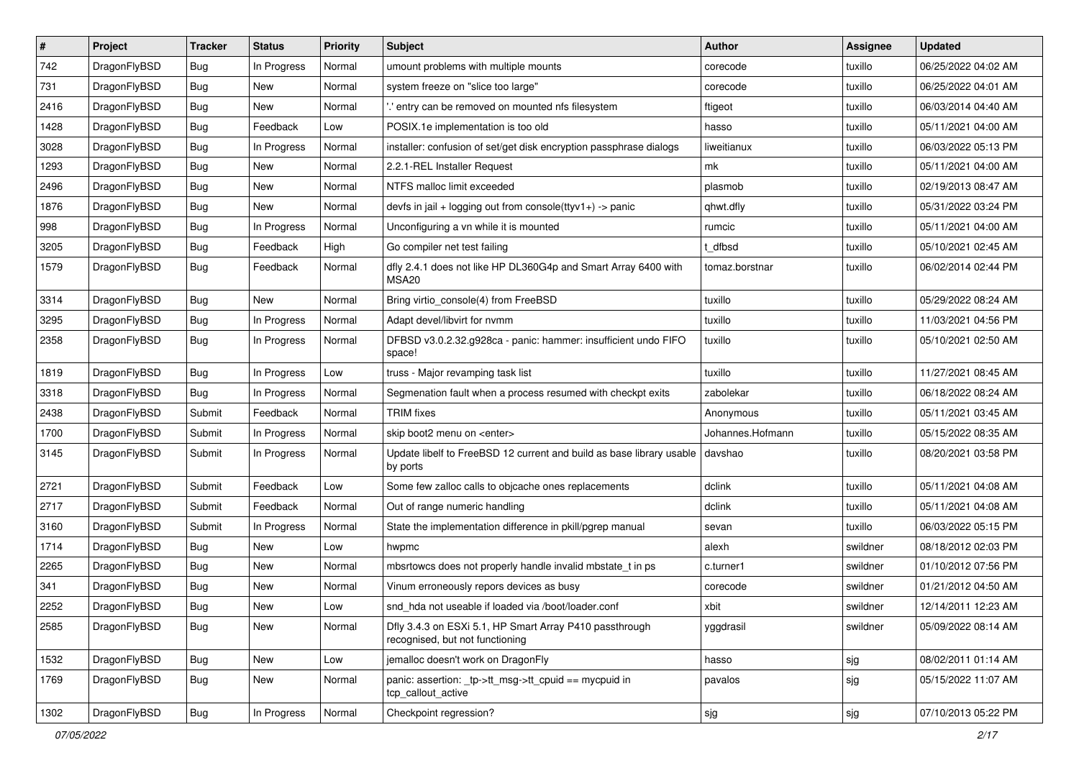| $\sharp$ | Project      | <b>Tracker</b> | <b>Status</b> | <b>Priority</b> | <b>Subject</b>                                                                             | <b>Author</b>    | <b>Assignee</b> | <b>Updated</b>      |
|----------|--------------|----------------|---------------|-----------------|--------------------------------------------------------------------------------------------|------------------|-----------------|---------------------|
| 742      | DragonFlyBSD | Bug            | In Progress   | Normal          | umount problems with multiple mounts                                                       | corecode         | tuxillo         | 06/25/2022 04:02 AM |
| 731      | DragonFlyBSD | Bug            | New           | Normal          | system freeze on "slice too large"                                                         | corecode         | tuxillo         | 06/25/2022 04:01 AM |
| 2416     | DragonFlyBSD | Bug            | New           | Normal          | ".' entry can be removed on mounted nfs filesystem                                         | ftigeot          | tuxillo         | 06/03/2014 04:40 AM |
| 1428     | DragonFlyBSD | <b>Bug</b>     | Feedback      | Low             | POSIX.1e implementation is too old                                                         | hasso            | tuxillo         | 05/11/2021 04:00 AM |
| 3028     | DragonFlyBSD | Bug            | In Progress   | Normal          | installer: confusion of set/get disk encryption passphrase dialogs                         | liweitianux      | tuxillo         | 06/03/2022 05:13 PM |
| 1293     | DragonFlyBSD | <b>Bug</b>     | New           | Normal          | 2.2.1-REL Installer Request                                                                | mk               | tuxillo         | 05/11/2021 04:00 AM |
| 2496     | DragonFlyBSD | <b>Bug</b>     | New           | Normal          | NTFS malloc limit exceeded                                                                 | plasmob          | tuxillo         | 02/19/2013 08:47 AM |
| 1876     | DragonFlyBSD | <b>Bug</b>     | New           | Normal          | devfs in jail + logging out from console(ttyv1+) -> panic                                  | qhwt.dfly        | tuxillo         | 05/31/2022 03:24 PM |
| 998      | DragonFlyBSD | <b>Bug</b>     | In Progress   | Normal          | Unconfiguring a vn while it is mounted                                                     | rumcic           | tuxillo         | 05/11/2021 04:00 AM |
| 3205     | DragonFlyBSD | Bug            | Feedback      | High            | Go compiler net test failing                                                               | t_dfbsd          | tuxillo         | 05/10/2021 02:45 AM |
| 1579     | DragonFlyBSD | <b>Bug</b>     | Feedback      | Normal          | dfly 2.4.1 does not like HP DL360G4p and Smart Array 6400 with<br>MSA <sub>20</sub>        | tomaz.borstnar   | tuxillo         | 06/02/2014 02:44 PM |
| 3314     | DragonFlyBSD | Bug            | New           | Normal          | Bring virtio_console(4) from FreeBSD                                                       | tuxillo          | tuxillo         | 05/29/2022 08:24 AM |
| 3295     | DragonFlyBSD | <b>Bug</b>     | In Progress   | Normal          | Adapt devel/libvirt for nvmm                                                               | tuxillo          | tuxillo         | 11/03/2021 04:56 PM |
| 2358     | DragonFlyBSD | <b>Bug</b>     | In Progress   | Normal          | DFBSD v3.0.2.32.g928ca - panic: hammer: insufficient undo FIFO<br>space!                   | tuxillo          | tuxillo         | 05/10/2021 02:50 AM |
| 1819     | DragonFlyBSD | Bug            | In Progress   | Low             | truss - Major revamping task list                                                          | tuxillo          | tuxillo         | 11/27/2021 08:45 AM |
| 3318     | DragonFlyBSD | Bug            | In Progress   | Normal          | Segmenation fault when a process resumed with checkpt exits                                | zabolekar        | tuxillo         | 06/18/2022 08:24 AM |
| 2438     | DragonFlyBSD | Submit         | Feedback      | Normal          | <b>TRIM</b> fixes                                                                          | Anonymous        | tuxillo         | 05/11/2021 03:45 AM |
| 1700     | DragonFlyBSD | Submit         | In Progress   | Normal          | skip boot2 menu on <enter></enter>                                                         | Johannes.Hofmann | tuxillo         | 05/15/2022 08:35 AM |
| 3145     | DragonFlyBSD | Submit         | In Progress   | Normal          | Update libelf to FreeBSD 12 current and build as base library usable<br>by ports           | davshao          | tuxillo         | 08/20/2021 03:58 PM |
| 2721     | DragonFlyBSD | Submit         | Feedback      | Low             | Some few zalloc calls to objcache ones replacements                                        | dclink           | tuxillo         | 05/11/2021 04:08 AM |
| 2717     | DragonFlyBSD | Submit         | Feedback      | Normal          | Out of range numeric handling                                                              | dclink           | tuxillo         | 05/11/2021 04:08 AM |
| 3160     | DragonFlyBSD | Submit         | In Progress   | Normal          | State the implementation difference in pkill/pgrep manual                                  | sevan            | tuxillo         | 06/03/2022 05:15 PM |
| 1714     | DragonFlyBSD | <b>Bug</b>     | <b>New</b>    | Low             | hwpmc                                                                                      | alexh            | swildner        | 08/18/2012 02:03 PM |
| 2265     | DragonFlyBSD | Bug            | <b>New</b>    | Normal          | mbsrtowcs does not properly handle invalid mbstate_t in ps                                 | c.turner1        | swildner        | 01/10/2012 07:56 PM |
| 341      | DragonFlyBSD | <b>Bug</b>     | New           | Normal          | Vinum erroneously repors devices as busy                                                   | corecode         | swildner        | 01/21/2012 04:50 AM |
| 2252     | DragonFlyBSD | Bug            | New           | Low             | snd_hda not useable if loaded via /boot/loader.conf                                        | xbit             | swildner        | 12/14/2011 12:23 AM |
| 2585     | DragonFlyBSD | Bug            | New           | Normal          | Dfly 3.4.3 on ESXi 5.1, HP Smart Array P410 passthrough<br>recognised, but not functioning | yggdrasil        | swildner        | 05/09/2022 08:14 AM |
| 1532     | DragonFlyBSD | <b>Bug</b>     | New           | Low             | jemalloc doesn't work on DragonFly                                                         | hasso            | sjg             | 08/02/2011 01:14 AM |
| 1769     | DragonFlyBSD | <b>Bug</b>     | New           | Normal          | panic: assertion: _tp->tt_msg->tt_cpuid == mycpuid in<br>tcp_callout_active                | pavalos          | sjg             | 05/15/2022 11:07 AM |
| 1302     | DragonFlyBSD | Bug            | In Progress   | Normal          | Checkpoint regression?                                                                     | sjg              | sjg             | 07/10/2013 05:22 PM |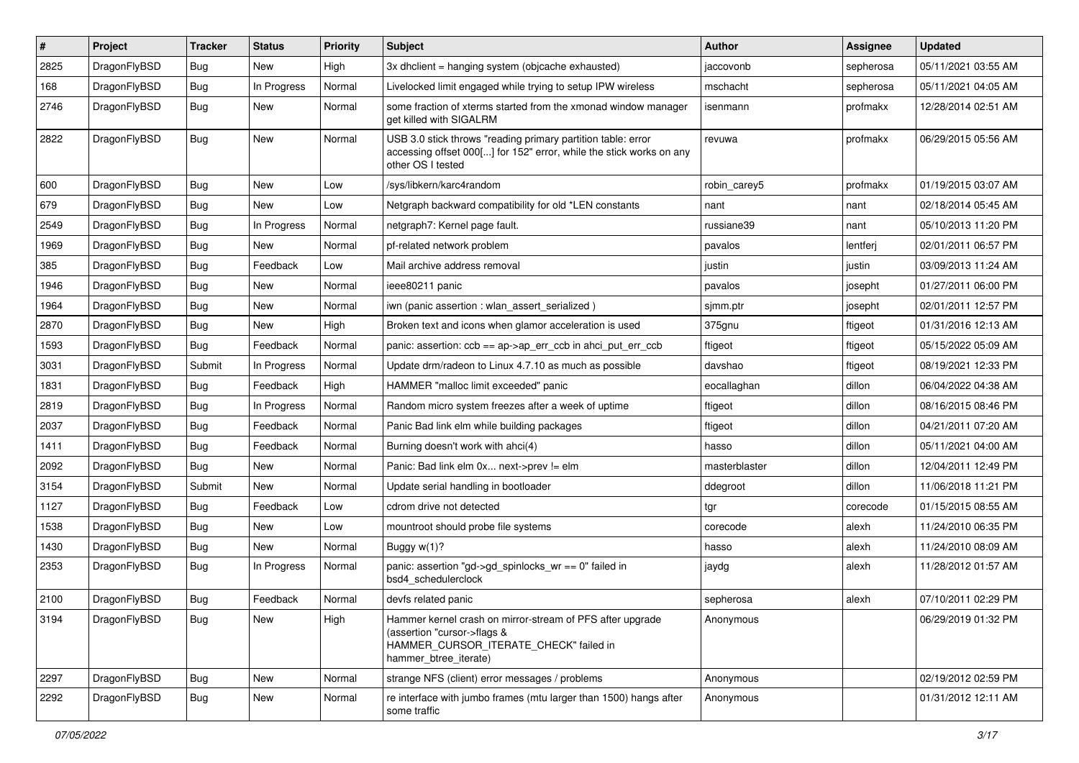| #    | Project      | <b>Tracker</b> | <b>Status</b> | <b>Priority</b> | Subject                                                                                                                                                     | <b>Author</b> | <b>Assignee</b> | <b>Updated</b>      |
|------|--------------|----------------|---------------|-----------------|-------------------------------------------------------------------------------------------------------------------------------------------------------------|---------------|-----------------|---------------------|
| 2825 | DragonFlyBSD | <b>Bug</b>     | New           | High            | 3x dhclient = hanging system (objcache exhausted)                                                                                                           | jaccovonb     | sepherosa       | 05/11/2021 03:55 AM |
| 168  | DragonFlyBSD | Bug            | In Progress   | Normal          | Livelocked limit engaged while trying to setup IPW wireless                                                                                                 | mschacht      | sepherosa       | 05/11/2021 04:05 AM |
| 2746 | DragonFlyBSD | Bug            | New           | Normal          | some fraction of xterms started from the xmonad window manager<br>get killed with SIGALRM                                                                   | isenmann      | profmakx        | 12/28/2014 02:51 AM |
| 2822 | DragonFlyBSD | Bug            | <b>New</b>    | Normal          | USB 3.0 stick throws "reading primary partition table: error<br>accessing offset 000[] for 152" error, while the stick works on any<br>other OS I tested    | revuwa        | profmakx        | 06/29/2015 05:56 AM |
| 600  | DragonFlyBSD | <b>Bug</b>     | <b>New</b>    | Low             | /sys/libkern/karc4random                                                                                                                                    | robin carey5  | profmakx        | 01/19/2015 03:07 AM |
| 679  | DragonFlyBSD | <b>Bug</b>     | <b>New</b>    | Low             | Netgraph backward compatibility for old *LEN constants                                                                                                      | nant          | nant            | 02/18/2014 05:45 AM |
| 2549 | DragonFlyBSD | Bug            | In Progress   | Normal          | netgraph7: Kernel page fault.                                                                                                                               | russiane39    | nant            | 05/10/2013 11:20 PM |
| 1969 | DragonFlyBSD | <b>Bug</b>     | New           | Normal          | pf-related network problem                                                                                                                                  | pavalos       | lentferj        | 02/01/2011 06:57 PM |
| 385  | DragonFlyBSD | <b>Bug</b>     | Feedback      | Low             | Mail archive address removal                                                                                                                                | justin        | justin          | 03/09/2013 11:24 AM |
| 1946 | DragonFlyBSD | Bug            | <b>New</b>    | Normal          | ieee80211 panic                                                                                                                                             | pavalos       | josepht         | 01/27/2011 06:00 PM |
| 1964 | DragonFlyBSD | <b>Bug</b>     | New           | Normal          | iwn (panic assertion : wlan assert serialized)                                                                                                              | simm.ptr      | josepht         | 02/01/2011 12:57 PM |
| 2870 | DragonFlyBSD | <b>Bug</b>     | New           | High            | Broken text and icons when glamor acceleration is used                                                                                                      | 375gnu        | ftigeot         | 01/31/2016 12:13 AM |
| 1593 | DragonFlyBSD | <b>Bug</b>     | Feedback      | Normal          | panic: assertion: $ccb == ap > ap$ err $ccb$ in ahci put err $ccb$                                                                                          | ftigeot       | ftigeot         | 05/15/2022 05:09 AM |
| 3031 | DragonFlyBSD | Submit         | In Progress   | Normal          | Update drm/radeon to Linux 4.7.10 as much as possible                                                                                                       | davshao       | ftigeot         | 08/19/2021 12:33 PM |
| 1831 | DragonFlyBSD | Bug            | Feedback      | High            | HAMMER "malloc limit exceeded" panic                                                                                                                        | eocallaghan   | dillon          | 06/04/2022 04:38 AM |
| 2819 | DragonFlyBSD | <b>Bug</b>     | In Progress   | Normal          | Random micro system freezes after a week of uptime                                                                                                          | ftigeot       | dillon          | 08/16/2015 08:46 PM |
| 2037 | DragonFlyBSD | Bug            | Feedback      | Normal          | Panic Bad link elm while building packages                                                                                                                  | ftigeot       | dillon          | 04/21/2011 07:20 AM |
| 1411 | DragonFlyBSD | <b>Bug</b>     | Feedback      | Normal          | Burning doesn't work with ahci(4)                                                                                                                           | hasso         | dillon          | 05/11/2021 04:00 AM |
| 2092 | DragonFlyBSD | <b>Bug</b>     | New           | Normal          | Panic: Bad link elm 0x next->prev != elm                                                                                                                    | masterblaster | dillon          | 12/04/2011 12:49 PM |
| 3154 | DragonFlyBSD | Submit         | New           | Normal          | Update serial handling in bootloader                                                                                                                        | ddegroot      | dillon          | 11/06/2018 11:21 PM |
| 1127 | DragonFlyBSD | <b>Bug</b>     | Feedback      | Low             | cdrom drive not detected                                                                                                                                    | tgr           | corecode        | 01/15/2015 08:55 AM |
| 1538 | DragonFlyBSD | <b>Bug</b>     | New           | Low             | mountroot should probe file systems                                                                                                                         | corecode      | alexh           | 11/24/2010 06:35 PM |
| 1430 | DragonFlyBSD | <b>Bug</b>     | <b>New</b>    | Normal          | Buggy w(1)?                                                                                                                                                 | hasso         | alexh           | 11/24/2010 08:09 AM |
| 2353 | DragonFlyBSD | <b>Bug</b>     | In Progress   | Normal          | panic: assertion "gd->gd spinlocks $wr == 0$ " failed in<br>bsd4 schedulerclock                                                                             | jaydg         | alexh           | 11/28/2012 01:57 AM |
| 2100 | DragonFlyBSD | <b>Bug</b>     | Feedback      | Normal          | devfs related panic                                                                                                                                         | sepherosa     | alexh           | 07/10/2011 02:29 PM |
| 3194 | DragonFlyBSD | <b>Bug</b>     | New           | High            | Hammer kernel crash on mirror-stream of PFS after upgrade<br>(assertion "cursor->flags &<br>HAMMER_CURSOR_ITERATE_CHECK" failed in<br>hammer_btree_iterate) | Anonymous     |                 | 06/29/2019 01:32 PM |
| 2297 | DragonFlyBSD | Bug            | New           | Normal          | strange NFS (client) error messages / problems                                                                                                              | Anonymous     |                 | 02/19/2012 02:59 PM |
| 2292 | DragonFlyBSD | Bug            | New           | Normal          | re interface with jumbo frames (mtu larger than 1500) hangs after<br>some traffic                                                                           | Anonymous     |                 | 01/31/2012 12:11 AM |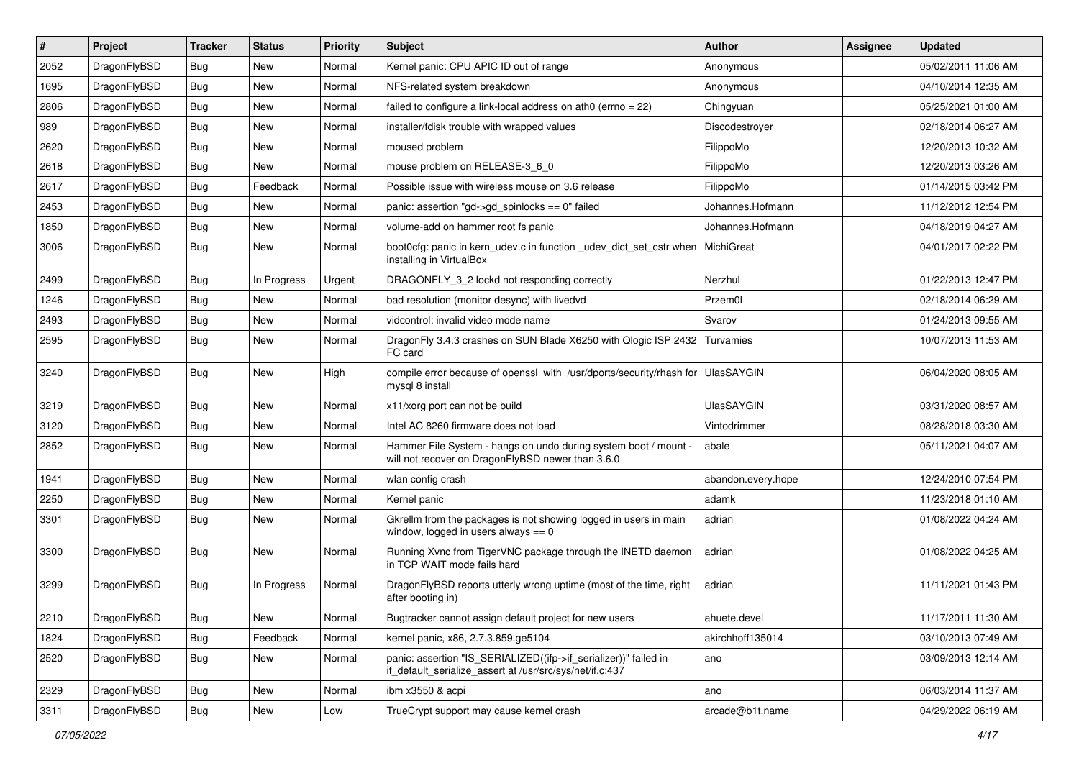| #    | Project      | <b>Tracker</b> | <b>Status</b> | <b>Priority</b> | Subject                                                                                                                      | <b>Author</b>      | Assignee | <b>Updated</b>      |
|------|--------------|----------------|---------------|-----------------|------------------------------------------------------------------------------------------------------------------------------|--------------------|----------|---------------------|
| 2052 | DragonFlyBSD | <b>Bug</b>     | New           | Normal          | Kernel panic: CPU APIC ID out of range                                                                                       | Anonymous          |          | 05/02/2011 11:06 AM |
| 1695 | DragonFlyBSD | <b>Bug</b>     | <b>New</b>    | Normal          | NFS-related system breakdown                                                                                                 | Anonymous          |          | 04/10/2014 12:35 AM |
| 2806 | DragonFlyBSD | <b>Bug</b>     | New           | Normal          | failed to configure a link-local address on ath0 (errno = 22)                                                                | Chingyuan          |          | 05/25/2021 01:00 AM |
| 989  | DragonFlyBSD | <b>Bug</b>     | <b>New</b>    | Normal          | installer/fdisk trouble with wrapped values                                                                                  | Discodestroyer     |          | 02/18/2014 06:27 AM |
| 2620 | DragonFlyBSD | <b>Bug</b>     | <b>New</b>    | Normal          | moused problem                                                                                                               | FilippoMo          |          | 12/20/2013 10:32 AM |
| 2618 | DragonFlyBSD | <b>Bug</b>     | New           | Normal          | mouse problem on RELEASE-3_6_0                                                                                               | FilippoMo          |          | 12/20/2013 03:26 AM |
| 2617 | DragonFlyBSD | <b>Bug</b>     | Feedback      | Normal          | Possible issue with wireless mouse on 3.6 release                                                                            | FilippoMo          |          | 01/14/2015 03:42 PM |
| 2453 | DragonFlyBSD | <b>Bug</b>     | New           | Normal          | panic: assertion "gd->gd spinlocks == $0$ " failed                                                                           | Johannes.Hofmann   |          | 11/12/2012 12:54 PM |
| 1850 | DragonFlyBSD | <b>Bug</b>     | <b>New</b>    | Normal          | volume-add on hammer root fs panic                                                                                           | Johannes.Hofmann   |          | 04/18/2019 04:27 AM |
| 3006 | DragonFlyBSD | <b>Bug</b>     | New           | Normal          | boot0cfg: panic in kern_udev.c in function _udev_dict_set_cstr when<br>installing in VirtualBox                              | MichiGreat         |          | 04/01/2017 02:22 PM |
| 2499 | DragonFlyBSD | <b>Bug</b>     | In Progress   | Urgent          | DRAGONFLY_3_2 lockd not responding correctly                                                                                 | Nerzhul            |          | 01/22/2013 12:47 PM |
| 1246 | DragonFlyBSD | <b>Bug</b>     | <b>New</b>    | Normal          | bad resolution (monitor desync) with livedvd                                                                                 | Przem0l            |          | 02/18/2014 06:29 AM |
| 2493 | DragonFlyBSD | <b>Bug</b>     | New           | Normal          | vidcontrol: invalid video mode name                                                                                          | Svarov             |          | 01/24/2013 09:55 AM |
| 2595 | DragonFlyBSD | <b>Bug</b>     | New           | Normal          | DragonFly 3.4.3 crashes on SUN Blade X6250 with Qlogic ISP 2432<br>FC card                                                   | Turvamies          |          | 10/07/2013 11:53 AM |
| 3240 | DragonFlyBSD | <b>Bug</b>     | New           | High            | compile error because of openssl with /usr/dports/security/rhash for<br>mysql 8 install                                      | <b>UlasSAYGIN</b>  |          | 06/04/2020 08:05 AM |
| 3219 | DragonFlyBSD | <b>Bug</b>     | <b>New</b>    | Normal          | x11/xorg port can not be build                                                                                               | <b>UlasSAYGIN</b>  |          | 03/31/2020 08:57 AM |
| 3120 | DragonFlyBSD | <b>Bug</b>     | New           | Normal          | Intel AC 8260 firmware does not load                                                                                         | Vintodrimmer       |          | 08/28/2018 03:30 AM |
| 2852 | DragonFlyBSD | <b>Bug</b>     | New           | Normal          | Hammer File System - hangs on undo during system boot / mount -<br>will not recover on DragonFlyBSD newer than 3.6.0         | abale              |          | 05/11/2021 04:07 AM |
| 1941 | DragonFlyBSD | <b>Bug</b>     | New           | Normal          | wlan config crash                                                                                                            | abandon.every.hope |          | 12/24/2010 07:54 PM |
| 2250 | DragonFlyBSD | <b>Bug</b>     | New           | Normal          | Kernel panic                                                                                                                 | adamk              |          | 11/23/2018 01:10 AM |
| 3301 | DragonFlyBSD | <b>Bug</b>     | New           | Normal          | Gkrellm from the packages is not showing logged in users in main<br>window, logged in users always $== 0$                    | adrian             |          | 01/08/2022 04:24 AM |
| 3300 | DragonFlyBSD | <b>Bug</b>     | <b>New</b>    | Normal          | Running Xvnc from TigerVNC package through the INETD daemon<br>in TCP WAIT mode fails hard                                   | adrian             |          | 01/08/2022 04:25 AM |
| 3299 | DragonFlyBSD | <b>Bug</b>     | In Progress   | Normal          | DragonFlyBSD reports utterly wrong uptime (most of the time, right<br>after booting in)                                      | adrian             |          | 11/11/2021 01:43 PM |
| 2210 | DragonFlyBSD | <b>Bug</b>     | New           | Normal          | Bugtracker cannot assign default project for new users                                                                       | ahuete.devel       |          | 11/17/2011 11:30 AM |
| 1824 | DragonFlyBSD | <b>Bug</b>     | Feedback      | Normal          | kernel panic, x86, 2.7.3.859.ge5104                                                                                          | akirchhoff135014   |          | 03/10/2013 07:49 AM |
| 2520 | DragonFlyBSD | <b>Bug</b>     | New           | Normal          | panic: assertion "IS_SERIALIZED((ifp->if_serializer))" failed in<br>if default serialize assert at /usr/src/sys/net/if.c:437 | ano                |          | 03/09/2013 12:14 AM |
| 2329 | DragonFlyBSD | Bug            | New           | Normal          | ibm x3550 & acpi                                                                                                             | ano                |          | 06/03/2014 11:37 AM |
| 3311 | DragonFlyBSD | <b>Bug</b>     | New           | Low             | TrueCrypt support may cause kernel crash                                                                                     | arcade@b1t.name    |          | 04/29/2022 06:19 AM |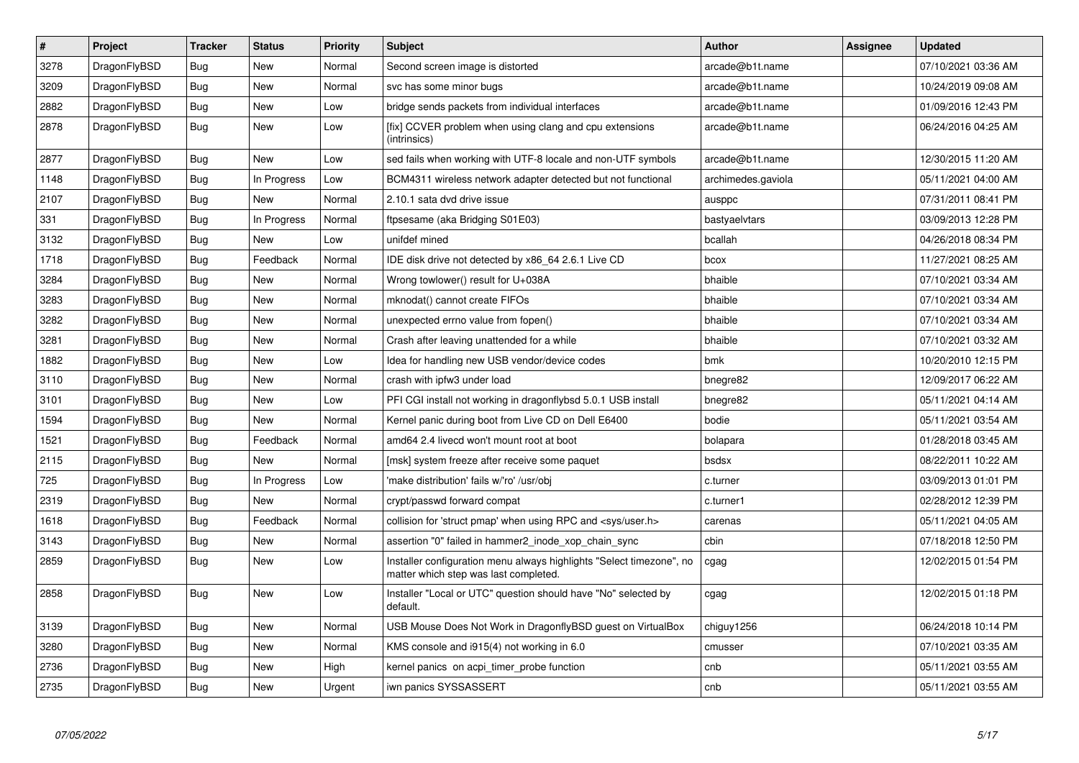| $\vert$ # | <b>Project</b> | <b>Tracker</b> | <b>Status</b> | <b>Priority</b> | <b>Subject</b>                                                                                                | Author             | Assignee | <b>Updated</b>      |
|-----------|----------------|----------------|---------------|-----------------|---------------------------------------------------------------------------------------------------------------|--------------------|----------|---------------------|
| 3278      | DragonFlyBSD   | <b>Bug</b>     | <b>New</b>    | Normal          | Second screen image is distorted                                                                              | arcade@b1t.name    |          | 07/10/2021 03:36 AM |
| 3209      | DragonFlyBSD   | Bug            | <b>New</b>    | Normal          | svc has some minor bugs                                                                                       | arcade@b1t.name    |          | 10/24/2019 09:08 AM |
| 2882      | DragonFlyBSD   | <b>Bug</b>     | <b>New</b>    | Low             | bridge sends packets from individual interfaces                                                               | arcade@b1t.name    |          | 01/09/2016 12:43 PM |
| 2878      | DragonFlyBSD   | <b>Bug</b>     | <b>New</b>    | Low             | [fix] CCVER problem when using clang and cpu extensions<br>(intrinsics)                                       | arcade@b1t.name    |          | 06/24/2016 04:25 AM |
| 2877      | DragonFlyBSD   | <b>Bug</b>     | <b>New</b>    | Low             | sed fails when working with UTF-8 locale and non-UTF symbols                                                  | arcade@b1t.name    |          | 12/30/2015 11:20 AM |
| 1148      | DragonFlyBSD   | <b>Bug</b>     | In Progress   | Low             | BCM4311 wireless network adapter detected but not functional                                                  | archimedes.gaviola |          | 05/11/2021 04:00 AM |
| 2107      | DragonFlyBSD   | <b>Bug</b>     | <b>New</b>    | Normal          | 2.10.1 sata dvd drive issue                                                                                   | ausppc             |          | 07/31/2011 08:41 PM |
| 331       | DragonFlyBSD   | <b>Bug</b>     | In Progress   | Normal          | ftpsesame (aka Bridging S01E03)                                                                               | bastyaelvtars      |          | 03/09/2013 12:28 PM |
| 3132      | DragonFlyBSD   | Bug            | <b>New</b>    | Low             | unifdef mined                                                                                                 | bcallah            |          | 04/26/2018 08:34 PM |
| 1718      | DragonFlyBSD   | <b>Bug</b>     | Feedback      | Normal          | IDE disk drive not detected by x86 64 2.6.1 Live CD                                                           | bcox               |          | 11/27/2021 08:25 AM |
| 3284      | DragonFlyBSD   | Bug            | <b>New</b>    | Normal          | Wrong towlower() result for U+038A                                                                            | bhaible            |          | 07/10/2021 03:34 AM |
| 3283      | DragonFlyBSD   | <b>Bug</b>     | <b>New</b>    | Normal          | mknodat() cannot create FIFOs                                                                                 | bhaible            |          | 07/10/2021 03:34 AM |
| 3282      | DragonFlyBSD   | Bug            | <b>New</b>    | Normal          | unexpected errno value from fopen()                                                                           | bhaible            |          | 07/10/2021 03:34 AM |
| 3281      | DragonFlyBSD   | <b>Bug</b>     | <b>New</b>    | Normal          | Crash after leaving unattended for a while                                                                    | bhaible            |          | 07/10/2021 03:32 AM |
| 1882      | DragonFlyBSD   | Bug            | New           | Low             | Idea for handling new USB vendor/device codes                                                                 | bmk                |          | 10/20/2010 12:15 PM |
| 3110      | DragonFlyBSD   | <b>Bug</b>     | <b>New</b>    | Normal          | crash with ipfw3 under load                                                                                   | bnegre82           |          | 12/09/2017 06:22 AM |
| 3101      | DragonFlyBSD   | Bug            | New           | Low             | PFI CGI install not working in dragonflybsd 5.0.1 USB install                                                 | bnegre82           |          | 05/11/2021 04:14 AM |
| 1594      | DragonFlyBSD   | <b>Bug</b>     | <b>New</b>    | Normal          | Kernel panic during boot from Live CD on Dell E6400                                                           | bodie              |          | 05/11/2021 03:54 AM |
| 1521      | DragonFlyBSD   | Bug            | Feedback      | Normal          | amd64 2.4 livecd won't mount root at boot                                                                     | bolapara           |          | 01/28/2018 03:45 AM |
| 2115      | DragonFlyBSD   | <b>Bug</b>     | <b>New</b>    | Normal          | [msk] system freeze after receive some paquet                                                                 | bsdsx              |          | 08/22/2011 10:22 AM |
| 725       | DragonFlyBSD   | <b>Bug</b>     | In Progress   | Low             | 'make distribution' fails w/'ro' /usr/obj                                                                     | c.turner           |          | 03/09/2013 01:01 PM |
| 2319      | DragonFlyBSD   | <b>Bug</b>     | <b>New</b>    | Normal          | crypt/passwd forward compat                                                                                   | c.turner1          |          | 02/28/2012 12:39 PM |
| 1618      | DragonFlyBSD   | <b>Bug</b>     | Feedback      | Normal          | collision for 'struct pmap' when using RPC and <sys user.h=""></sys>                                          | carenas            |          | 05/11/2021 04:05 AM |
| 3143      | DragonFlyBSD   | <b>Bug</b>     | <b>New</b>    | Normal          | assertion "0" failed in hammer2_inode_xop_chain_sync                                                          | cbin               |          | 07/18/2018 12:50 PM |
| 2859      | DragonFlyBSD   | Bug            | <b>New</b>    | Low             | Installer configuration menu always highlights "Select timezone", no<br>matter which step was last completed. | cgag               |          | 12/02/2015 01:54 PM |
| 2858      | DragonFlyBSD   | Bug            | <b>New</b>    | Low             | Installer "Local or UTC" question should have "No" selected by<br>default.                                    | cgag               |          | 12/02/2015 01:18 PM |
| 3139      | DragonFlyBSD   | <b>Bug</b>     | <b>New</b>    | Normal          | USB Mouse Does Not Work in DragonflyBSD guest on VirtualBox                                                   | chiguy1256         |          | 06/24/2018 10:14 PM |
| 3280      | DragonFlyBSD   | <b>Bug</b>     | <b>New</b>    | Normal          | KMS console and i915(4) not working in 6.0                                                                    | cmusser            |          | 07/10/2021 03:35 AM |
| 2736      | DragonFlyBSD   | <b>Bug</b>     | <b>New</b>    | High            | kernel panics on acpi timer probe function                                                                    | cnb                |          | 05/11/2021 03:55 AM |
| 2735      | DragonFlyBSD   | Bug            | New           | Urgent          | iwn panics SYSSASSERT                                                                                         | cnb                |          | 05/11/2021 03:55 AM |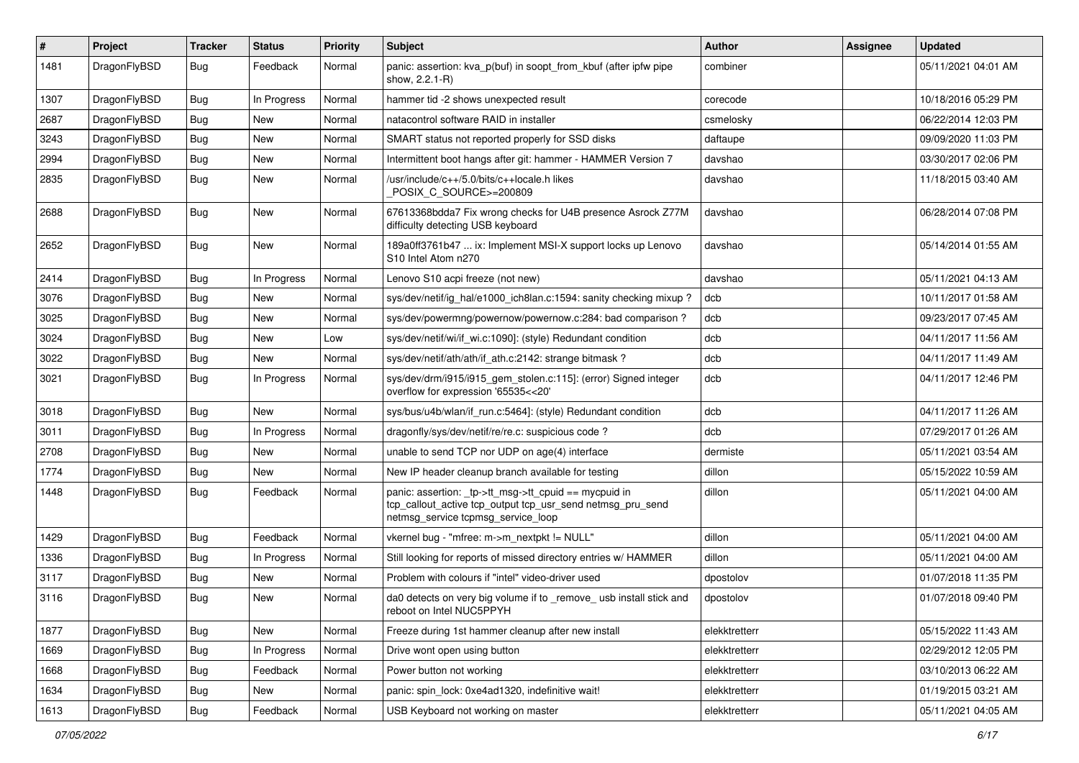| $\sharp$ | Project      | <b>Tracker</b> | <b>Status</b> | <b>Priority</b> | <b>Subject</b>                                                                                                                                            | <b>Author</b> | Assignee | <b>Updated</b>      |
|----------|--------------|----------------|---------------|-----------------|-----------------------------------------------------------------------------------------------------------------------------------------------------------|---------------|----------|---------------------|
| 1481     | DragonFlyBSD | Bug            | Feedback      | Normal          | panic: assertion: kva_p(buf) in soopt_from_kbuf (after ipfw pipe<br>show, 2.2.1-R)                                                                        | combiner      |          | 05/11/2021 04:01 AM |
| 1307     | DragonFlyBSD | Bug            | In Progress   | Normal          | hammer tid -2 shows unexpected result                                                                                                                     | corecode      |          | 10/18/2016 05:29 PM |
| 2687     | DragonFlyBSD | <b>Bug</b>     | New           | Normal          | natacontrol software RAID in installer                                                                                                                    | csmelosky     |          | 06/22/2014 12:03 PM |
| 3243     | DragonFlyBSD | Bug            | <b>New</b>    | Normal          | SMART status not reported properly for SSD disks                                                                                                          | daftaupe      |          | 09/09/2020 11:03 PM |
| 2994     | DragonFlyBSD | Bug            | <b>New</b>    | Normal          | Intermittent boot hangs after git: hammer - HAMMER Version 7                                                                                              | davshao       |          | 03/30/2017 02:06 PM |
| 2835     | DragonFlyBSD | <b>Bug</b>     | New           | Normal          | /usr/include/c++/5.0/bits/c++locale.h likes<br>POSIX C SOURCE>=200809                                                                                     | davshao       |          | 11/18/2015 03:40 AM |
| 2688     | DragonFlyBSD | <b>Bug</b>     | <b>New</b>    | Normal          | 67613368bdda7 Fix wrong checks for U4B presence Asrock Z77M<br>difficulty detecting USB keyboard                                                          | davshao       |          | 06/28/2014 07:08 PM |
| 2652     | DragonFlyBSD | Bug            | New           | Normal          | 189a0ff3761b47  ix: Implement MSI-X support locks up Lenovo<br>S10 Intel Atom n270                                                                        | davshao       |          | 05/14/2014 01:55 AM |
| 2414     | DragonFlyBSD | Bug            | In Progress   | Normal          | Lenovo S10 acpi freeze (not new)                                                                                                                          | davshao       |          | 05/11/2021 04:13 AM |
| 3076     | DragonFlyBSD | <b>Bug</b>     | <b>New</b>    | Normal          | sys/dev/netif/ig_hal/e1000_ich8lan.c:1594: sanity checking mixup?                                                                                         | dcb           |          | 10/11/2017 01:58 AM |
| 3025     | DragonFlyBSD | <b>Bug</b>     | New           | Normal          | sys/dev/powermng/powernow/powernow.c:284: bad comparison?                                                                                                 | dcb           |          | 09/23/2017 07:45 AM |
| 3024     | DragonFlyBSD | Bug            | New           | Low             | sys/dev/netif/wi/if_wi.c:1090]: (style) Redundant condition                                                                                               | dcb           |          | 04/11/2017 11:56 AM |
| 3022     | DragonFlyBSD | <b>Bug</b>     | New           | Normal          | sys/dev/netif/ath/ath/if ath.c:2142: strange bitmask?                                                                                                     | dcb           |          | 04/11/2017 11:49 AM |
| 3021     | DragonFlyBSD | <b>Bug</b>     | In Progress   | Normal          | sys/dev/drm/i915/i915_gem_stolen.c:115]: (error) Signed integer<br>overflow for expression '65535<<20'                                                    | dcb           |          | 04/11/2017 12:46 PM |
| 3018     | DragonFlyBSD | Bug            | New           | Normal          | sys/bus/u4b/wlan/if run.c:5464]: (style) Redundant condition                                                                                              | dcb           |          | 04/11/2017 11:26 AM |
| 3011     | DragonFlyBSD | Bug            | In Progress   | Normal          | dragonfly/sys/dev/netif/re/re.c: suspicious code?                                                                                                         | dcb           |          | 07/29/2017 01:26 AM |
| 2708     | DragonFlyBSD | Bug            | New           | Normal          | unable to send TCP nor UDP on age(4) interface                                                                                                            | dermiste      |          | 05/11/2021 03:54 AM |
| 1774     | DragonFlyBSD | <b>Bug</b>     | <b>New</b>    | Normal          | New IP header cleanup branch available for testing                                                                                                        | dillon        |          | 05/15/2022 10:59 AM |
| 1448     | DragonFlyBSD | <b>Bug</b>     | Feedback      | Normal          | panic: assertion: _tp->tt_msg->tt_cpuid == mycpuid in<br>tcp_callout_active tcp_output tcp_usr_send netmsg_pru_send<br>netmsg_service tcpmsg_service_loop | dillon        |          | 05/11/2021 04:00 AM |
| 1429     | DragonFlyBSD | <b>Bug</b>     | Feedback      | Normal          | vkernel bug - "mfree: m->m_nextpkt != NULL"                                                                                                               | dillon        |          | 05/11/2021 04:00 AM |
| 1336     | DragonFlyBSD | <b>Bug</b>     | In Progress   | Normal          | Still looking for reports of missed directory entries w/ HAMMER                                                                                           | dillon        |          | 05/11/2021 04:00 AM |
| 3117     | DragonFlyBSD | <b>Bug</b>     | <b>New</b>    | Normal          | Problem with colours if "intel" video-driver used                                                                                                         | dpostolov     |          | 01/07/2018 11:35 PM |
| 3116     | DragonFlyBSD | <b>Bug</b>     | New           | Normal          | da0 detects on very big volume if to _remove_ usb install stick and<br>reboot on Intel NUC5PPYH                                                           | dpostolov     |          | 01/07/2018 09:40 PM |
| 1877     | DragonFlyBSD | Bug            | New           | Normal          | Freeze during 1st hammer cleanup after new install                                                                                                        | elekktretterr |          | 05/15/2022 11:43 AM |
| 1669     | DragonFlyBSD | <b>Bug</b>     | In Progress   | Normal          | Drive wont open using button                                                                                                                              | elekktretterr |          | 02/29/2012 12:05 PM |
| 1668     | DragonFlyBSD | <b>Bug</b>     | Feedback      | Normal          | Power button not working                                                                                                                                  | elekktretterr |          | 03/10/2013 06:22 AM |
| 1634     | DragonFlyBSD | <b>Bug</b>     | New           | Normal          | panic: spin_lock: 0xe4ad1320, indefinitive wait!                                                                                                          | elekktretterr |          | 01/19/2015 03:21 AM |
| 1613     | DragonFlyBSD | <b>Bug</b>     | Feedback      | Normal          | USB Keyboard not working on master                                                                                                                        | elekktretterr |          | 05/11/2021 04:05 AM |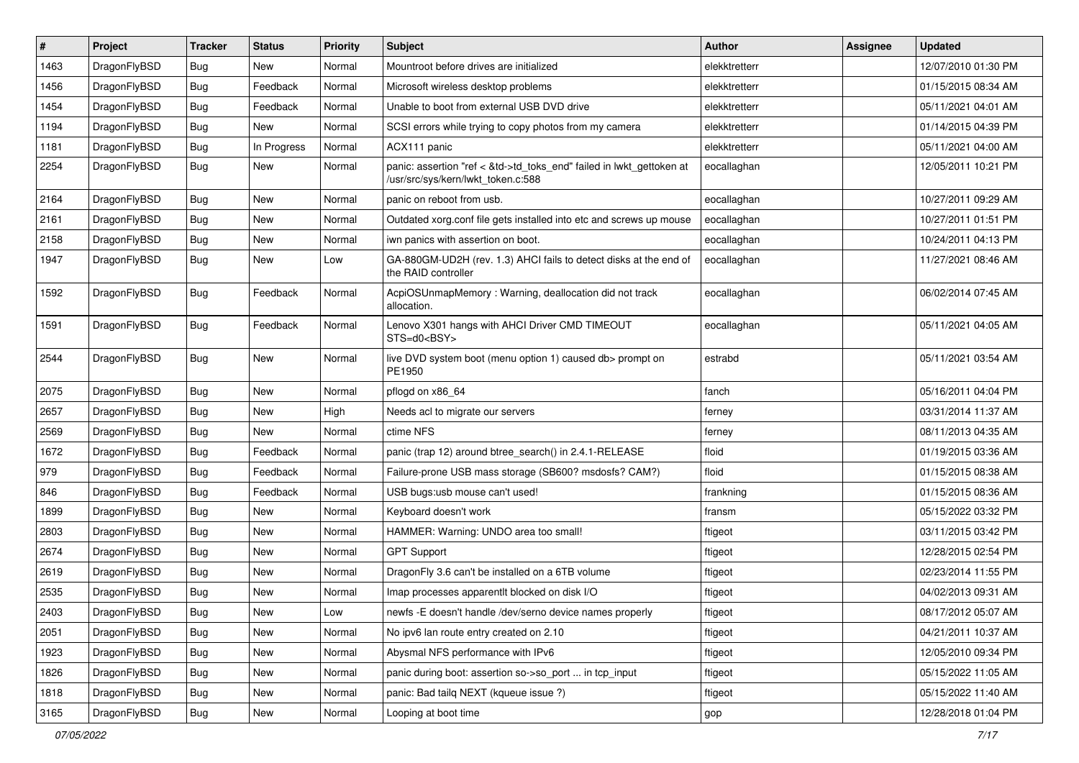| #    | Project      | <b>Tracker</b> | <b>Status</b> | <b>Priority</b> | Subject                                                                                                    | <b>Author</b> | Assignee | <b>Updated</b>      |
|------|--------------|----------------|---------------|-----------------|------------------------------------------------------------------------------------------------------------|---------------|----------|---------------------|
| 1463 | DragonFlyBSD | <b>Bug</b>     | New           | Normal          | Mountroot before drives are initialized                                                                    | elekktretterr |          | 12/07/2010 01:30 PM |
| 1456 | DragonFlyBSD | <b>Bug</b>     | Feedback      | Normal          | Microsoft wireless desktop problems                                                                        | elekktretterr |          | 01/15/2015 08:34 AM |
| 1454 | DragonFlyBSD | <b>Bug</b>     | Feedback      | Normal          | Unable to boot from external USB DVD drive                                                                 | elekktretterr |          | 05/11/2021 04:01 AM |
| 1194 | DragonFlyBSD | <b>Bug</b>     | New           | Normal          | SCSI errors while trying to copy photos from my camera                                                     | elekktretterr |          | 01/14/2015 04:39 PM |
| 1181 | DragonFlyBSD | <b>Bug</b>     | In Progress   | Normal          | ACX111 panic                                                                                               | elekktretterr |          | 05/11/2021 04:00 AM |
| 2254 | DragonFlyBSD | <b>Bug</b>     | New           | Normal          | panic: assertion "ref < &td->td_toks_end" failed in lwkt_gettoken at<br>/usr/src/sys/kern/lwkt_token.c:588 | eocallaghan   |          | 12/05/2011 10:21 PM |
| 2164 | DragonFlyBSD | <b>Bug</b>     | <b>New</b>    | Normal          | panic on reboot from usb.                                                                                  | eocallaghan   |          | 10/27/2011 09:29 AM |
| 2161 | DragonFlyBSD | <b>Bug</b>     | New           | Normal          | Outdated xorg.conf file gets installed into etc and screws up mouse                                        | eocallaghan   |          | 10/27/2011 01:51 PM |
| 2158 | DragonFlyBSD | <b>Bug</b>     | <b>New</b>    | Normal          | iwn panics with assertion on boot.                                                                         | eocallaghan   |          | 10/24/2011 04:13 PM |
| 1947 | DragonFlyBSD | <b>Bug</b>     | New           | Low             | GA-880GM-UD2H (rev. 1.3) AHCI fails to detect disks at the end of<br>the RAID controller                   | eocallaghan   |          | 11/27/2021 08:46 AM |
| 1592 | DragonFlyBSD | <b>Bug</b>     | Feedback      | Normal          | AcpiOSUnmapMemory: Warning, deallocation did not track<br>allocation.                                      | eocallaghan   |          | 06/02/2014 07:45 AM |
| 1591 | DragonFlyBSD | <b>Bug</b>     | Feedback      | Normal          | Lenovo X301 hangs with AHCI Driver CMD TIMEOUT<br>$STS=d0e$ BSY>                                           | eocallaghan   |          | 05/11/2021 04:05 AM |
| 2544 | DragonFlyBSD | <b>Bug</b>     | New           | Normal          | live DVD system boot (menu option 1) caused db> prompt on<br>PE1950                                        | estrabd       |          | 05/11/2021 03:54 AM |
| 2075 | DragonFlyBSD | Bug            | <b>New</b>    | Normal          | pflogd on x86 64                                                                                           | fanch         |          | 05/16/2011 04:04 PM |
| 2657 | DragonFlyBSD | <b>Bug</b>     | New           | High            | Needs acl to migrate our servers                                                                           | ferney        |          | 03/31/2014 11:37 AM |
| 2569 | DragonFlyBSD | <b>Bug</b>     | New           | Normal          | ctime NFS                                                                                                  | ferney        |          | 08/11/2013 04:35 AM |
| 1672 | DragonFlyBSD | <b>Bug</b>     | Feedback      | Normal          | panic (trap 12) around btree search() in 2.4.1-RELEASE                                                     | floid         |          | 01/19/2015 03:36 AM |
| 979  | DragonFlyBSD | <b>Bug</b>     | Feedback      | Normal          | Failure-prone USB mass storage (SB600? msdosfs? CAM?)                                                      | floid         |          | 01/15/2015 08:38 AM |
| 846  | DragonFlyBSD | <b>Bug</b>     | Feedback      | Normal          | USB bugs:usb mouse can't used!                                                                             | frankning     |          | 01/15/2015 08:36 AM |
| 1899 | DragonFlyBSD | Bug            | New           | Normal          | Keyboard doesn't work                                                                                      | fransm        |          | 05/15/2022 03:32 PM |
| 2803 | DragonFlyBSD | Bug            | New           | Normal          | HAMMER: Warning: UNDO area too small!                                                                      | ftigeot       |          | 03/11/2015 03:42 PM |
| 2674 | DragonFlyBSD | <b>Bug</b>     | New           | Normal          | <b>GPT Support</b>                                                                                         | ftigeot       |          | 12/28/2015 02:54 PM |
| 2619 | DragonFlyBSD | <b>Bug</b>     | New           | Normal          | DragonFly 3.6 can't be installed on a 6TB volume                                                           | ftigeot       |          | 02/23/2014 11:55 PM |
| 2535 | DragonFlyBSD | <b>Bug</b>     | New           | Normal          | Imap processes apparentlt blocked on disk I/O                                                              | ftigeot       |          | 04/02/2013 09:31 AM |
| 2403 | DragonFlyBSD | <b>Bug</b>     | <b>New</b>    | Low             | newfs -E doesn't handle /dev/serno device names properly                                                   | ftigeot       |          | 08/17/2012 05:07 AM |
| 2051 | DragonFlyBSD | <b>Bug</b>     | New           | Normal          | No ipv6 lan route entry created on 2.10                                                                    | ftigeot       |          | 04/21/2011 10:37 AM |
| 1923 | DragonFlyBSD | <b>Bug</b>     | New           | Normal          | Abysmal NFS performance with IPv6                                                                          | ftigeot       |          | 12/05/2010 09:34 PM |
| 1826 | DragonFlyBSD | <b>Bug</b>     | New           | Normal          | panic during boot: assertion so->so_port  in tcp_input                                                     | ftigeot       |          | 05/15/2022 11:05 AM |
| 1818 | DragonFlyBSD | <b>Bug</b>     | <b>New</b>    | Normal          | panic: Bad tailq NEXT (kqueue issue ?)                                                                     | ftigeot       |          | 05/15/2022 11:40 AM |
| 3165 | DragonFlyBSD | <b>Bug</b>     | New           | Normal          | Looping at boot time                                                                                       | gop           |          | 12/28/2018 01:04 PM |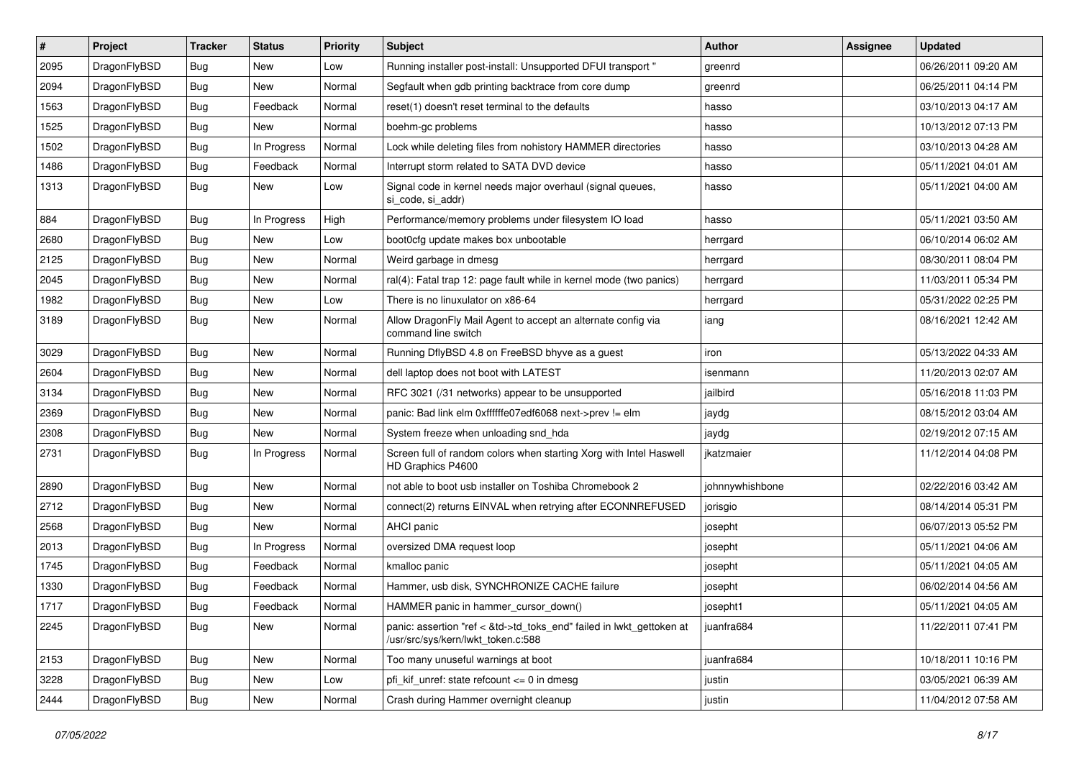| ∦    | Project      | <b>Tracker</b> | <b>Status</b> | <b>Priority</b> | <b>Subject</b>                                                                                             | <b>Author</b>   | Assignee | <b>Updated</b>      |
|------|--------------|----------------|---------------|-----------------|------------------------------------------------------------------------------------------------------------|-----------------|----------|---------------------|
| 2095 | DragonFlyBSD | <b>Bug</b>     | <b>New</b>    | Low             | Running installer post-install: Unsupported DFUI transport "                                               | greenrd         |          | 06/26/2011 09:20 AM |
| 2094 | DragonFlyBSD | <b>Bug</b>     | <b>New</b>    | Normal          | Segfault when gdb printing backtrace from core dump                                                        | greenrd         |          | 06/25/2011 04:14 PM |
| 1563 | DragonFlyBSD | <b>Bug</b>     | Feedback      | Normal          | reset(1) doesn't reset terminal to the defaults                                                            | hasso           |          | 03/10/2013 04:17 AM |
| 1525 | DragonFlyBSD | Bug            | <b>New</b>    | Normal          | boehm-gc problems                                                                                          | hasso           |          | 10/13/2012 07:13 PM |
| 1502 | DragonFlyBSD | <b>Bug</b>     | In Progress   | Normal          | Lock while deleting files from nohistory HAMMER directories                                                | hasso           |          | 03/10/2013 04:28 AM |
| 1486 | DragonFlyBSD | <b>Bug</b>     | Feedback      | Normal          | Interrupt storm related to SATA DVD device                                                                 | hasso           |          | 05/11/2021 04:01 AM |
| 1313 | DragonFlyBSD | Bug            | New           | Low             | Signal code in kernel needs major overhaul (signal queues,<br>si code, si addr)                            | hasso           |          | 05/11/2021 04:00 AM |
| 884  | DragonFlyBSD | <b>Bug</b>     | In Progress   | High            | Performance/memory problems under filesystem IO load                                                       | hasso           |          | 05/11/2021 03:50 AM |
| 2680 | DragonFlyBSD | Bug            | <b>New</b>    | Low             | boot0cfg update makes box unbootable                                                                       | herrgard        |          | 06/10/2014 06:02 AM |
| 2125 | DragonFlyBSD | <b>Bug</b>     | <b>New</b>    | Normal          | Weird garbage in dmesg                                                                                     | herrgard        |          | 08/30/2011 08:04 PM |
| 2045 | DragonFlyBSD | Bug            | <b>New</b>    | Normal          | ral(4): Fatal trap 12: page fault while in kernel mode (two panics)                                        | herrgard        |          | 11/03/2011 05:34 PM |
| 1982 | DragonFlyBSD | <b>Bug</b>     | <b>New</b>    | Low             | There is no linuxulator on x86-64                                                                          | herrgard        |          | 05/31/2022 02:25 PM |
| 3189 | DragonFlyBSD | Bug            | <b>New</b>    | Normal          | Allow DragonFly Mail Agent to accept an alternate config via<br>command line switch                        | iang            |          | 08/16/2021 12:42 AM |
| 3029 | DragonFlyBSD | <b>Bug</b>     | <b>New</b>    | Normal          | Running DflyBSD 4.8 on FreeBSD bhyve as a guest                                                            | iron            |          | 05/13/2022 04:33 AM |
| 2604 | DragonFlyBSD | Bug            | <b>New</b>    | Normal          | dell laptop does not boot with LATEST                                                                      | isenmann        |          | 11/20/2013 02:07 AM |
| 3134 | DragonFlyBSD | Bug            | <b>New</b>    | Normal          | RFC 3021 (/31 networks) appear to be unsupported                                                           | jailbird        |          | 05/16/2018 11:03 PM |
| 2369 | DragonFlyBSD | <b>Bug</b>     | New           | Normal          | panic: Bad link elm 0xffffffe07edf6068 next->prev != elm                                                   | jaydg           |          | 08/15/2012 03:04 AM |
| 2308 | DragonFlyBSD | Bug            | <b>New</b>    | Normal          | System freeze when unloading snd_hda                                                                       | jaydg           |          | 02/19/2012 07:15 AM |
| 2731 | DragonFlyBSD | Bug            | In Progress   | Normal          | Screen full of random colors when starting Xorg with Intel Haswell<br>HD Graphics P4600                    | jkatzmaier      |          | 11/12/2014 04:08 PM |
| 2890 | DragonFlyBSD | <b>Bug</b>     | <b>New</b>    | Normal          | not able to boot usb installer on Toshiba Chromebook 2                                                     | johnnywhishbone |          | 02/22/2016 03:42 AM |
| 2712 | DragonFlyBSD | <b>Bug</b>     | <b>New</b>    | Normal          | connect(2) returns EINVAL when retrying after ECONNREFUSED                                                 | jorisgio        |          | 08/14/2014 05:31 PM |
| 2568 | DragonFlyBSD | Bug            | <b>New</b>    | Normal          | AHCI panic                                                                                                 | josepht         |          | 06/07/2013 05:52 PM |
| 2013 | DragonFlyBSD | Bug            | In Progress   | Normal          | oversized DMA request loop                                                                                 | josepht         |          | 05/11/2021 04:06 AM |
| 1745 | DragonFlyBSD | <b>Bug</b>     | Feedback      | Normal          | kmalloc panic                                                                                              | josepht         |          | 05/11/2021 04:05 AM |
| 1330 | DragonFlyBSD | Bug            | Feedback      | Normal          | Hammer, usb disk, SYNCHRONIZE CACHE failure                                                                | josepht         |          | 06/02/2014 04:56 AM |
| 1717 | DragonFlyBSD | Bug            | Feedback      | Normal          | HAMMER panic in hammer_cursor_down()                                                                       | josepht1        |          | 05/11/2021 04:05 AM |
| 2245 | DragonFlyBSD | Bug            | New           | Normal          | panic: assertion "ref < &td->td_toks_end" failed in lwkt_gettoken at<br>/usr/src/sys/kern/lwkt_token.c:588 | juanfra684      |          | 11/22/2011 07:41 PM |
| 2153 | DragonFlyBSD | Bug            | New           | Normal          | Too many unuseful warnings at boot                                                                         | iuanfra684      |          | 10/18/2011 10:16 PM |
| 3228 | DragonFlyBSD | <b>Bug</b>     | New           | Low             | pfi_kif_unref: state refcount <= 0 in dmesg                                                                | justin          |          | 03/05/2021 06:39 AM |
| 2444 | DragonFlyBSD | Bug            | New           | Normal          | Crash during Hammer overnight cleanup                                                                      | justin          |          | 11/04/2012 07:58 AM |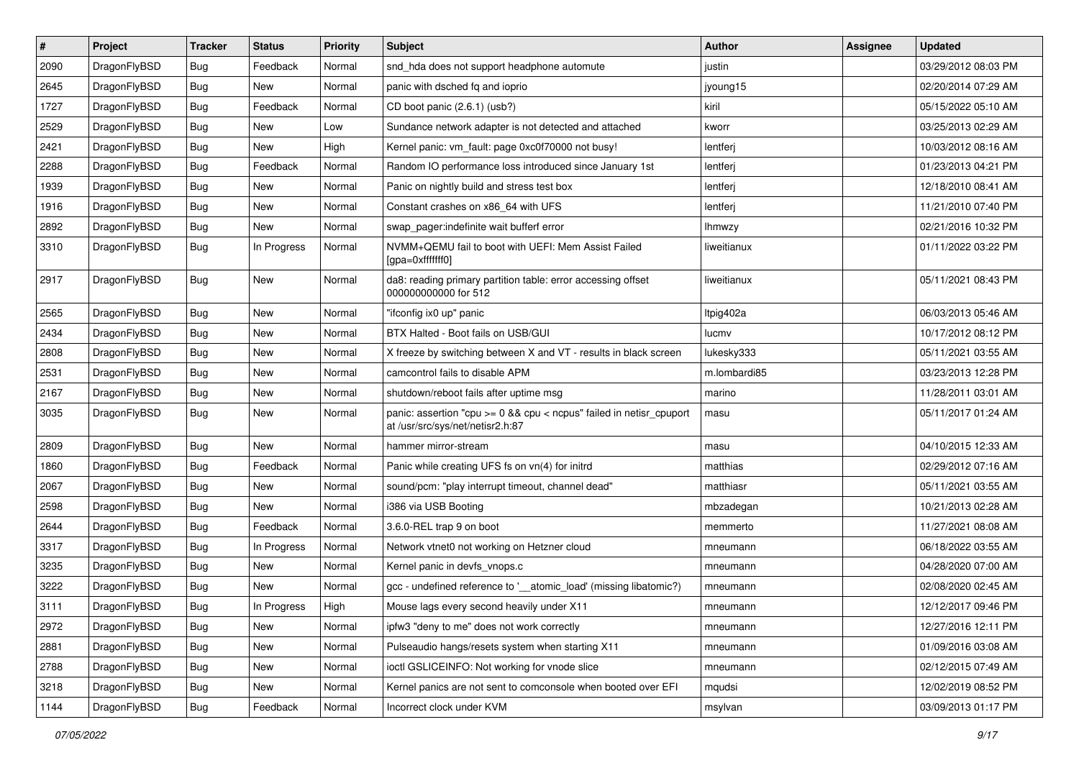| $\sharp$ | Project      | <b>Tracker</b> | <b>Status</b> | <b>Priority</b> | Subject                                                                                                 | <b>Author</b> | Assignee | <b>Updated</b>      |
|----------|--------------|----------------|---------------|-----------------|---------------------------------------------------------------------------------------------------------|---------------|----------|---------------------|
| 2090     | DragonFlyBSD | <b>Bug</b>     | Feedback      | Normal          | snd_hda does not support headphone automute                                                             | justin        |          | 03/29/2012 08:03 PM |
| 2645     | DragonFlyBSD | <b>Bug</b>     | <b>New</b>    | Normal          | panic with dsched fq and ioprio                                                                         | jyoung15      |          | 02/20/2014 07:29 AM |
| 1727     | DragonFlyBSD | <b>Bug</b>     | Feedback      | Normal          | CD boot panic (2.6.1) (usb?)                                                                            | kiril         |          | 05/15/2022 05:10 AM |
| 2529     | DragonFlyBSD | <b>Bug</b>     | New           | Low             | Sundance network adapter is not detected and attached                                                   | kworr         |          | 03/25/2013 02:29 AM |
| 2421     | DragonFlyBSD | <b>Bug</b>     | <b>New</b>    | High            | Kernel panic: vm_fault: page 0xc0f70000 not busy!                                                       | lentferj      |          | 10/03/2012 08:16 AM |
| 2288     | DragonFlyBSD | Bug            | Feedback      | Normal          | Random IO performance loss introduced since January 1st                                                 | lentferj      |          | 01/23/2013 04:21 PM |
| 1939     | DragonFlyBSD | <b>Bug</b>     | New           | Normal          | Panic on nightly build and stress test box                                                              | lentferj      |          | 12/18/2010 08:41 AM |
| 1916     | DragonFlyBSD | <b>Bug</b>     | New           | Normal          | Constant crashes on x86_64 with UFS                                                                     | lentferj      |          | 11/21/2010 07:40 PM |
| 2892     | DragonFlyBSD | <b>Bug</b>     | New           | Normal          | swap pager:indefinite wait bufferf error                                                                | lhmwzy        |          | 02/21/2016 10:32 PM |
| 3310     | DragonFlyBSD | <b>Bug</b>     | In Progress   | Normal          | NVMM+QEMU fail to boot with UEFI: Mem Assist Failed<br>[gpa=0xfffffff0]                                 | liweitianux   |          | 01/11/2022 03:22 PM |
| 2917     | DragonFlyBSD | <b>Bug</b>     | New           | Normal          | da8: reading primary partition table: error accessing offset<br>000000000000 for 512                    | liweitianux   |          | 05/11/2021 08:43 PM |
| 2565     | DragonFlyBSD | <b>Bug</b>     | New           | Normal          | "ifconfig ix0 up" panic                                                                                 | Itpig402a     |          | 06/03/2013 05:46 AM |
| 2434     | DragonFlyBSD | <b>Bug</b>     | <b>New</b>    | Normal          | BTX Halted - Boot fails on USB/GUI                                                                      | lucmv         |          | 10/17/2012 08:12 PM |
| 2808     | DragonFlyBSD | <b>Bug</b>     | New           | Normal          | X freeze by switching between X and VT - results in black screen                                        | lukesky333    |          | 05/11/2021 03:55 AM |
| 2531     | DragonFlyBSD | <b>Bug</b>     | New           | Normal          | camcontrol fails to disable APM                                                                         | m.lombardi85  |          | 03/23/2013 12:28 PM |
| 2167     | DragonFlyBSD | <b>Bug</b>     | New           | Normal          | shutdown/reboot fails after uptime msg                                                                  | marino        |          | 11/28/2011 03:01 AM |
| 3035     | DragonFlyBSD | <b>Bug</b>     | New           | Normal          | panic: assertion "cpu >= 0 && cpu < ncpus" failed in netisr_cpuport<br>at /usr/src/sys/net/netisr2.h:87 | masu          |          | 05/11/2017 01:24 AM |
| 2809     | DragonFlyBSD | <b>Bug</b>     | New           | Normal          | hammer mirror-stream                                                                                    | masu          |          | 04/10/2015 12:33 AM |
| 1860     | DragonFlyBSD | <b>Bug</b>     | Feedback      | Normal          | Panic while creating UFS fs on vn(4) for initrd                                                         | matthias      |          | 02/29/2012 07:16 AM |
| 2067     | DragonFlyBSD | <b>Bug</b>     | New           | Normal          | sound/pcm: "play interrupt timeout, channel dead"                                                       | matthiasr     |          | 05/11/2021 03:55 AM |
| 2598     | DragonFlyBSD | <b>Bug</b>     | New           | Normal          | i386 via USB Booting                                                                                    | mbzadegan     |          | 10/21/2013 02:28 AM |
| 2644     | DragonFlyBSD | <b>Bug</b>     | Feedback      | Normal          | 3.6.0-REL trap 9 on boot                                                                                | memmerto      |          | 11/27/2021 08:08 AM |
| 3317     | DragonFlyBSD | <b>Bug</b>     | In Progress   | Normal          | Network vtnet0 not working on Hetzner cloud                                                             | mneumann      |          | 06/18/2022 03:55 AM |
| 3235     | DragonFlyBSD | <b>Bug</b>     | New           | Normal          | Kernel panic in devfs vnops.c                                                                           | mneumann      |          | 04/28/2020 07:00 AM |
| 3222     | DragonFlyBSD | <b>Bug</b>     | New           | Normal          | gcc - undefined reference to '__atomic_load' (missing libatomic?)                                       | mneumann      |          | 02/08/2020 02:45 AM |
| 3111     | DragonFlyBSD | Bug            | In Progress   | High            | Mouse lags every second heavily under X11                                                               | mneumann      |          | 12/12/2017 09:46 PM |
| 2972     | DragonFlyBSD | <b>Bug</b>     | New           | Normal          | ipfw3 "deny to me" does not work correctly                                                              | mneumann      |          | 12/27/2016 12:11 PM |
| 2881     | DragonFlyBSD | <b>Bug</b>     | New           | Normal          | Pulseaudio hangs/resets system when starting X11                                                        | mneumann      |          | 01/09/2016 03:08 AM |
| 2788     | DragonFlyBSD | <b>Bug</b>     | New           | Normal          | ioctl GSLICEINFO: Not working for vnode slice                                                           | mneumann      |          | 02/12/2015 07:49 AM |
| 3218     | DragonFlyBSD | <b>Bug</b>     | New           | Normal          | Kernel panics are not sent to comconsole when booted over EFI                                           | mqudsi        |          | 12/02/2019 08:52 PM |
| 1144     | DragonFlyBSD | <b>Bug</b>     | Feedback      | Normal          | Incorrect clock under KVM                                                                               | msylvan       |          | 03/09/2013 01:17 PM |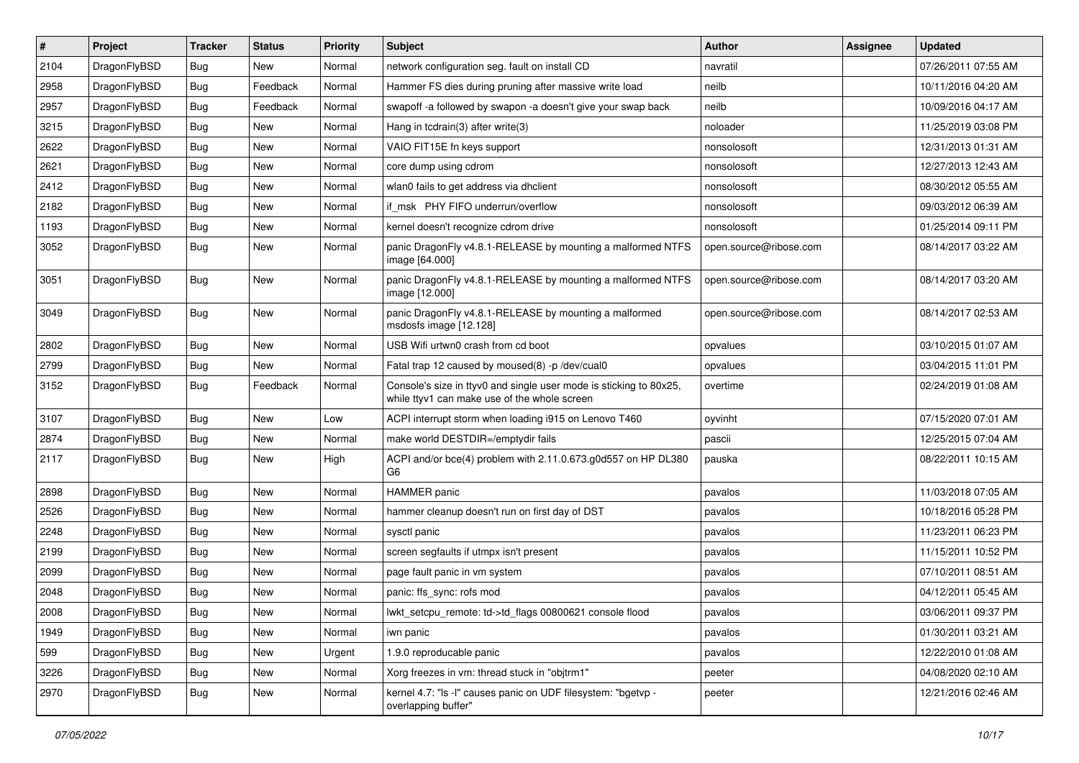| $\sharp$ | Project      | <b>Tracker</b> | <b>Status</b> | <b>Priority</b> | Subject                                                                                                            | <b>Author</b>          | Assignee | <b>Updated</b>      |
|----------|--------------|----------------|---------------|-----------------|--------------------------------------------------------------------------------------------------------------------|------------------------|----------|---------------------|
| 2104     | DragonFlyBSD | <b>Bug</b>     | New           | Normal          | network configuration seg. fault on install CD                                                                     | navratil               |          | 07/26/2011 07:55 AM |
| 2958     | DragonFlyBSD | <b>Bug</b>     | Feedback      | Normal          | Hammer FS dies during pruning after massive write load                                                             | neilb                  |          | 10/11/2016 04:20 AM |
| 2957     | DragonFlyBSD | <b>Bug</b>     | Feedback      | Normal          | swapoff -a followed by swapon -a doesn't give your swap back                                                       | neilb                  |          | 10/09/2016 04:17 AM |
| 3215     | DragonFlyBSD | <b>Bug</b>     | New           | Normal          | Hang in tcdrain(3) after write(3)                                                                                  | noloader               |          | 11/25/2019 03:08 PM |
| 2622     | DragonFlyBSD | <b>Bug</b>     | <b>New</b>    | Normal          | VAIO FIT15E fn keys support                                                                                        | nonsolosoft            |          | 12/31/2013 01:31 AM |
| 2621     | DragonFlyBSD | <b>Bug</b>     | <b>New</b>    | Normal          | core dump using cdrom                                                                                              | nonsolosoft            |          | 12/27/2013 12:43 AM |
| 2412     | DragonFlyBSD | <b>Bug</b>     | New           | Normal          | wlan0 fails to get address via dhclient                                                                            | nonsolosoft            |          | 08/30/2012 05:55 AM |
| 2182     | DragonFlyBSD | <b>Bug</b>     | New           | Normal          | if msk PHY FIFO underrun/overflow                                                                                  | nonsolosoft            |          | 09/03/2012 06:39 AM |
| 1193     | DragonFlyBSD | <b>Bug</b>     | New           | Normal          | kernel doesn't recognize cdrom drive                                                                               | nonsolosoft            |          | 01/25/2014 09:11 PM |
| 3052     | DragonFlyBSD | <b>Bug</b>     | New           | Normal          | panic DragonFly v4.8.1-RELEASE by mounting a malformed NTFS<br>image [64.000]                                      | open.source@ribose.com |          | 08/14/2017 03:22 AM |
| 3051     | DragonFlyBSD | Bug            | New           | Normal          | panic DragonFly v4.8.1-RELEASE by mounting a malformed NTFS<br>image [12.000]                                      | open.source@ribose.com |          | 08/14/2017 03:20 AM |
| 3049     | DragonFlyBSD | <b>Bug</b>     | New           | Normal          | panic DragonFly v4.8.1-RELEASE by mounting a malformed<br>msdosfs image [12.128]                                   | open.source@ribose.com |          | 08/14/2017 02:53 AM |
| 2802     | DragonFlyBSD | <b>Bug</b>     | New           | Normal          | USB Wifi urtwn0 crash from cd boot                                                                                 | opvalues               |          | 03/10/2015 01:07 AM |
| 2799     | DragonFlyBSD | <b>Bug</b>     | New           | Normal          | Fatal trap 12 caused by moused(8) -p /dev/cual0                                                                    | opvalues               |          | 03/04/2015 11:01 PM |
| 3152     | DragonFlyBSD | <b>Bug</b>     | Feedback      | Normal          | Console's size in ttyv0 and single user mode is sticking to 80x25,<br>while ttyv1 can make use of the whole screen | overtime               |          | 02/24/2019 01:08 AM |
| 3107     | DragonFlyBSD | Bug            | New           | Low             | ACPI interrupt storm when loading i915 on Lenovo T460                                                              | oyvinht                |          | 07/15/2020 07:01 AM |
| 2874     | DragonFlyBSD | Bug            | <b>New</b>    | Normal          | make world DESTDIR=/emptydir fails                                                                                 | pascii                 |          | 12/25/2015 07:04 AM |
| 2117     | DragonFlyBSD | Bug            | New           | High            | ACPI and/or bce(4) problem with 2.11.0.673.g0d557 on HP DL380<br>G6                                                | pauska                 |          | 08/22/2011 10:15 AM |
| 2898     | DragonFlyBSD | <b>Bug</b>     | New           | Normal          | <b>HAMMER</b> panic                                                                                                | pavalos                |          | 11/03/2018 07:05 AM |
| 2526     | DragonFlyBSD | Bug            | <b>New</b>    | Normal          | hammer cleanup doesn't run on first day of DST                                                                     | pavalos                |          | 10/18/2016 05:28 PM |
| 2248     | DragonFlyBSD | Bug            | <b>New</b>    | Normal          | sysctl panic                                                                                                       | pavalos                |          | 11/23/2011 06:23 PM |
| 2199     | DragonFlyBSD | <b>Bug</b>     | New           | Normal          | screen segfaults if utmpx isn't present                                                                            | pavalos                |          | 11/15/2011 10:52 PM |
| 2099     | DragonFlyBSD | <b>Bug</b>     | New           | Normal          | page fault panic in vm system                                                                                      | pavalos                |          | 07/10/2011 08:51 AM |
| 2048     | DragonFlyBSD | <b>Bug</b>     | New           | Normal          | panic: ffs_sync: rofs mod                                                                                          | pavalos                |          | 04/12/2011 05:45 AM |
| 2008     | DragonFlyBSD | <b>Bug</b>     | New           | Normal          | lwkt_setcpu_remote: td->td_flags 00800621 console flood                                                            | pavalos                |          | 03/06/2011 09:37 PM |
| 1949     | DragonFlyBSD | <b>Bug</b>     | New           | Normal          | iwn panic                                                                                                          | pavalos                |          | 01/30/2011 03:21 AM |
| 599      | DragonFlyBSD | <b>Bug</b>     | New           | Urgent          | 1.9.0 reproducable panic                                                                                           | pavalos                |          | 12/22/2010 01:08 AM |
| 3226     | DragonFlyBSD | <b>Bug</b>     | New           | Normal          | Xorg freezes in vm: thread stuck in "objtrm1"                                                                      | peeter                 |          | 04/08/2020 02:10 AM |
| 2970     | DragonFlyBSD | <b>Bug</b>     | New           | Normal          | kernel 4.7: "Is -I" causes panic on UDF filesystem: "bgetvp -<br>overlapping buffer"                               | peeter                 |          | 12/21/2016 02:46 AM |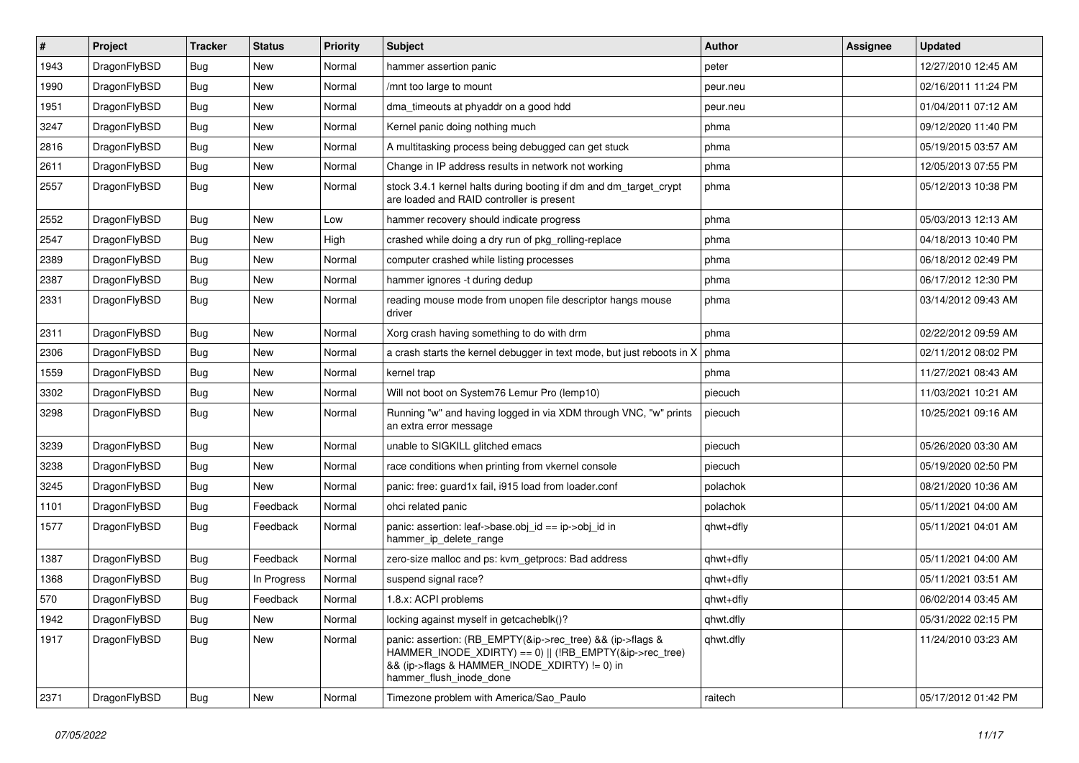| $\vert$ # | Project      | <b>Tracker</b> | <b>Status</b> | <b>Priority</b> | <b>Subject</b>                                                                                                                                                                                    | <b>Author</b> | Assignee | <b>Updated</b>      |
|-----------|--------------|----------------|---------------|-----------------|---------------------------------------------------------------------------------------------------------------------------------------------------------------------------------------------------|---------------|----------|---------------------|
| 1943      | DragonFlyBSD | Bug            | <b>New</b>    | Normal          | hammer assertion panic                                                                                                                                                                            | peter         |          | 12/27/2010 12:45 AM |
| 1990      | DragonFlyBSD | <b>Bug</b>     | <b>New</b>    | Normal          | /mnt too large to mount                                                                                                                                                                           | peur.neu      |          | 02/16/2011 11:24 PM |
| 1951      | DragonFlyBSD | <b>Bug</b>     | <b>New</b>    | Normal          | dma timeouts at phyaddr on a good hdd                                                                                                                                                             | peur.neu      |          | 01/04/2011 07:12 AM |
| 3247      | DragonFlyBSD | Bug            | <b>New</b>    | Normal          | Kernel panic doing nothing much                                                                                                                                                                   | phma          |          | 09/12/2020 11:40 PM |
| 2816      | DragonFlyBSD | <b>Bug</b>     | <b>New</b>    | Normal          | A multitasking process being debugged can get stuck                                                                                                                                               | phma          |          | 05/19/2015 03:57 AM |
| 2611      | DragonFlyBSD | <b>Bug</b>     | New           | Normal          | Change in IP address results in network not working                                                                                                                                               | phma          |          | 12/05/2013 07:55 PM |
| 2557      | DragonFlyBSD | Bug            | <b>New</b>    | Normal          | stock 3.4.1 kernel halts during booting if dm and dm_target_crypt<br>are loaded and RAID controller is present                                                                                    | phma          |          | 05/12/2013 10:38 PM |
| 2552      | DragonFlyBSD | <b>Bug</b>     | <b>New</b>    | Low             | hammer recovery should indicate progress                                                                                                                                                          | phma          |          | 05/03/2013 12:13 AM |
| 2547      | DragonFlyBSD | <b>Bug</b>     | <b>New</b>    | High            | crashed while doing a dry run of pkg rolling-replace                                                                                                                                              | phma          |          | 04/18/2013 10:40 PM |
| 2389      | DragonFlyBSD | <b>Bug</b>     | <b>New</b>    | Normal          | computer crashed while listing processes                                                                                                                                                          | phma          |          | 06/18/2012 02:49 PM |
| 2387      | DragonFlyBSD | Bug            | <b>New</b>    | Normal          | hammer ignores -t during dedup                                                                                                                                                                    | phma          |          | 06/17/2012 12:30 PM |
| 2331      | DragonFlyBSD | Bug            | <b>New</b>    | Normal          | reading mouse mode from unopen file descriptor hangs mouse<br>driver                                                                                                                              | phma          |          | 03/14/2012 09:43 AM |
| 2311      | DragonFlyBSD | Bug            | <b>New</b>    | Normal          | Xorg crash having something to do with drm                                                                                                                                                        | phma          |          | 02/22/2012 09:59 AM |
| 2306      | DragonFlyBSD | <b>Bug</b>     | <b>New</b>    | Normal          | a crash starts the kernel debugger in text mode, but just reboots in X                                                                                                                            | phma          |          | 02/11/2012 08:02 PM |
| 1559      | DragonFlyBSD | Bug            | <b>New</b>    | Normal          | kernel trap                                                                                                                                                                                       | phma          |          | 11/27/2021 08:43 AM |
| 3302      | DragonFlyBSD | <b>Bug</b>     | <b>New</b>    | Normal          | Will not boot on System76 Lemur Pro (lemp10)                                                                                                                                                      | piecuch       |          | 11/03/2021 10:21 AM |
| 3298      | DragonFlyBSD | Bug            | New           | Normal          | Running "w" and having logged in via XDM through VNC, "w" prints<br>an extra error message                                                                                                        | piecuch       |          | 10/25/2021 09:16 AM |
| 3239      | DragonFlyBSD | <b>Bug</b>     | <b>New</b>    | Normal          | unable to SIGKILL glitched emacs                                                                                                                                                                  | piecuch       |          | 05/26/2020 03:30 AM |
| 3238      | DragonFlyBSD | <b>Bug</b>     | <b>New</b>    | Normal          | race conditions when printing from vkernel console                                                                                                                                                | piecuch       |          | 05/19/2020 02:50 PM |
| 3245      | DragonFlyBSD | <b>Bug</b>     | <b>New</b>    | Normal          | panic: free: guard1x fail, i915 load from loader.conf                                                                                                                                             | polachok      |          | 08/21/2020 10:36 AM |
| 1101      | DragonFlyBSD | <b>Bug</b>     | Feedback      | Normal          | ohci related panic                                                                                                                                                                                | polachok      |          | 05/11/2021 04:00 AM |
| 1577      | DragonFlyBSD | <b>Bug</b>     | Feedback      | Normal          | panic: assertion: leaf->base.obj_id == ip->obj_id in<br>hammer_ip_delete_range                                                                                                                    | qhwt+dfly     |          | 05/11/2021 04:01 AM |
| 1387      | DragonFlyBSD | <b>Bug</b>     | Feedback      | Normal          | zero-size malloc and ps: kvm_getprocs: Bad address                                                                                                                                                | qhwt+dfly     |          | 05/11/2021 04:00 AM |
| 1368      | DragonFlyBSD | Bug            | In Progress   | Normal          | suspend signal race?                                                                                                                                                                              | qhwt+dfly     |          | 05/11/2021 03:51 AM |
| 570       | DragonFlyBSD | <b>Bug</b>     | Feedback      | Normal          | 1.8.x: ACPI problems                                                                                                                                                                              | qhwt+dfly     |          | 06/02/2014 03:45 AM |
| 1942      | DragonFlyBSD | <b>Bug</b>     | New           | Normal          | locking against myself in getcacheblk()?                                                                                                                                                          | qhwt.dfly     |          | 05/31/2022 02:15 PM |
| 1917      | DragonFlyBSD | <b>Bug</b>     | New           | Normal          | panic: assertion: (RB_EMPTY(&ip->rec_tree) && (ip->flags &<br>HAMMER_INODE_XDIRTY) == 0)    (!RB_EMPTY(&ip->rec_tree)<br>&& (ip->flags & HAMMER_INODE_XDIRTY) != 0) in<br>hammer_flush_inode_done | qhwt.dfly     |          | 11/24/2010 03:23 AM |
| 2371      | DragonFlyBSD | Bug            | New           | Normal          | Timezone problem with America/Sao_Paulo                                                                                                                                                           | raitech       |          | 05/17/2012 01:42 PM |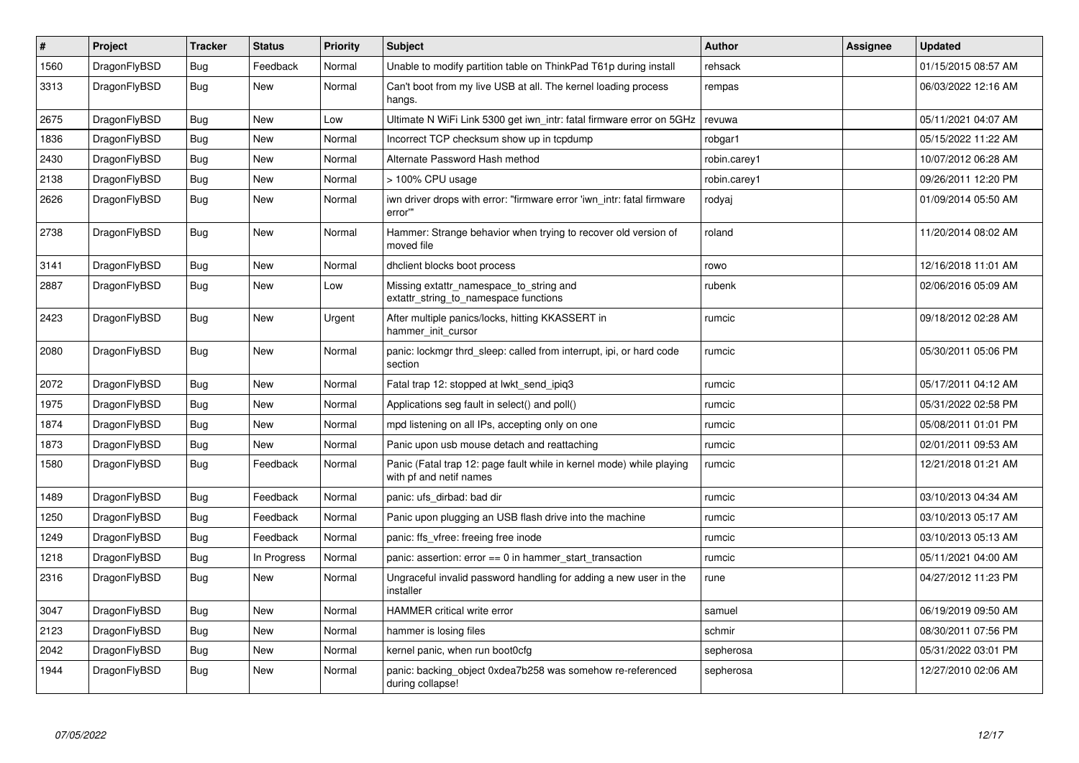| $\vert$ # | Project      | <b>Tracker</b> | <b>Status</b> | <b>Priority</b> | <b>Subject</b>                                                                                  | Author       | Assignee | <b>Updated</b>      |
|-----------|--------------|----------------|---------------|-----------------|-------------------------------------------------------------------------------------------------|--------------|----------|---------------------|
| 1560      | DragonFlyBSD | <b>Bug</b>     | Feedback      | Normal          | Unable to modify partition table on ThinkPad T61p during install                                | rehsack      |          | 01/15/2015 08:57 AM |
| 3313      | DragonFlyBSD | <b>Bug</b>     | <b>New</b>    | Normal          | Can't boot from my live USB at all. The kernel loading process<br>hangs.                        | rempas       |          | 06/03/2022 12:16 AM |
| 2675      | DragonFlyBSD | Bug            | <b>New</b>    | Low             | Ultimate N WiFi Link 5300 get iwn_intr: fatal firmware error on 5GHz                            | revuwa       |          | 05/11/2021 04:07 AM |
| 1836      | DragonFlyBSD | <b>Bug</b>     | <b>New</b>    | Normal          | Incorrect TCP checksum show up in tcpdump                                                       | robgar1      |          | 05/15/2022 11:22 AM |
| 2430      | DragonFlyBSD | Bug            | <b>New</b>    | Normal          | Alternate Password Hash method                                                                  | robin.carey1 |          | 10/07/2012 06:28 AM |
| 2138      | DragonFlyBSD | <b>Bug</b>     | <b>New</b>    | Normal          | > 100% CPU usage                                                                                | robin.carey1 |          | 09/26/2011 12:20 PM |
| 2626      | DragonFlyBSD | <b>Bug</b>     | <b>New</b>    | Normal          | iwn driver drops with error: "firmware error 'iwn intr: fatal firmware<br>error""               | rodyaj       |          | 01/09/2014 05:50 AM |
| 2738      | DragonFlyBSD | <b>Bug</b>     | New           | Normal          | Hammer: Strange behavior when trying to recover old version of<br>moved file                    | roland       |          | 11/20/2014 08:02 AM |
| 3141      | DragonFlyBSD | Bug            | <b>New</b>    | Normal          | dhclient blocks boot process                                                                    | rowo         |          | 12/16/2018 11:01 AM |
| 2887      | DragonFlyBSD | <b>Bug</b>     | New           | Low             | Missing extattr_namespace_to_string and<br>extattr_string_to_namespace functions                | rubenk       |          | 02/06/2016 05:09 AM |
| 2423      | DragonFlyBSD | <b>Bug</b>     | <b>New</b>    | Urgent          | After multiple panics/locks, hitting KKASSERT in<br>hammer init cursor                          | rumcic       |          | 09/18/2012 02:28 AM |
| 2080      | DragonFlyBSD | <b>Bug</b>     | <b>New</b>    | Normal          | panic: lockmgr thrd sleep: called from interrupt, ipi, or hard code<br>section                  | rumcic       |          | 05/30/2011 05:06 PM |
| 2072      | DragonFlyBSD | Bug            | <b>New</b>    | Normal          | Fatal trap 12: stopped at lwkt send ipig3                                                       | rumcic       |          | 05/17/2011 04:12 AM |
| 1975      | DragonFlyBSD | <b>Bug</b>     | <b>New</b>    | Normal          | Applications seg fault in select() and poll()                                                   | rumcic       |          | 05/31/2022 02:58 PM |
| 1874      | DragonFlyBSD | Bug            | <b>New</b>    | Normal          | mpd listening on all IPs, accepting only on one                                                 | rumcic       |          | 05/08/2011 01:01 PM |
| 1873      | DragonFlyBSD | <b>Bug</b>     | <b>New</b>    | Normal          | Panic upon usb mouse detach and reattaching                                                     | rumcic       |          | 02/01/2011 09:53 AM |
| 1580      | DragonFlyBSD | <b>Bug</b>     | Feedback      | Normal          | Panic (Fatal trap 12: page fault while in kernel mode) while playing<br>with pf and netif names | rumcic       |          | 12/21/2018 01:21 AM |
| 1489      | DragonFlyBSD | <b>Bug</b>     | Feedback      | Normal          | panic: ufs dirbad: bad dir                                                                      | rumcic       |          | 03/10/2013 04:34 AM |
| 1250      | DragonFlyBSD | Bug            | Feedback      | Normal          | Panic upon plugging an USB flash drive into the machine                                         | rumcic       |          | 03/10/2013 05:17 AM |
| 1249      | DragonFlyBSD | <b>Bug</b>     | Feedback      | Normal          | panic: ffs_vfree: freeing free inode                                                            | rumcic       |          | 03/10/2013 05:13 AM |
| 1218      | DragonFlyBSD | Bug            | In Progress   | Normal          | panic: assertion: $error == 0$ in hammer start transaction                                      | rumcic       |          | 05/11/2021 04:00 AM |
| 2316      | DragonFlyBSD | Bug            | New           | Normal          | Ungraceful invalid password handling for adding a new user in the<br>installer                  | rune         |          | 04/27/2012 11:23 PM |
| 3047      | DragonFlyBSD | Bug            | New           | Normal          | HAMMER critical write error                                                                     | samuel       |          | 06/19/2019 09:50 AM |
| 2123      | DragonFlyBSD | <b>Bug</b>     | <b>New</b>    | Normal          | hammer is losing files                                                                          | schmir       |          | 08/30/2011 07:56 PM |
| 2042      | DragonFlyBSD | <b>Bug</b>     | <b>New</b>    | Normal          | kernel panic, when run boot0cfg                                                                 | sepherosa    |          | 05/31/2022 03:01 PM |
| 1944      | DragonFlyBSD | Bug            | <b>New</b>    | Normal          | panic: backing object 0xdea7b258 was somehow re-referenced<br>during collapse!                  | sepherosa    |          | 12/27/2010 02:06 AM |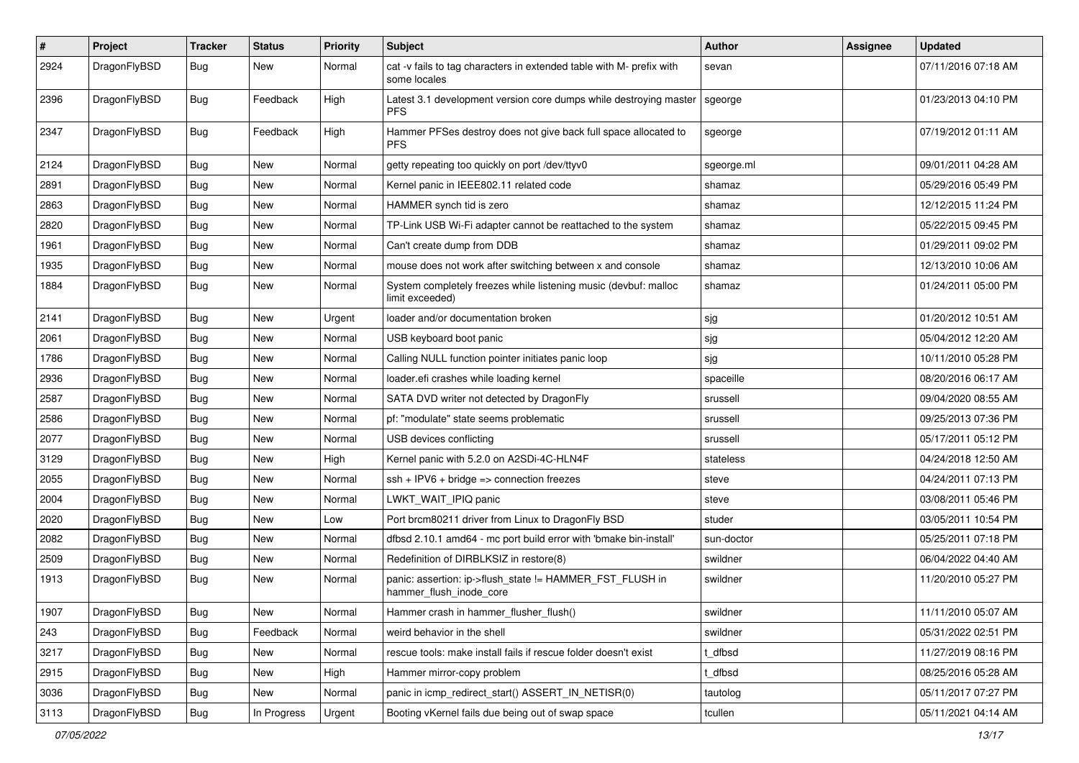| #    | Project      | <b>Tracker</b> | <b>Status</b> | <b>Priority</b> | Subject                                                                              | <b>Author</b> | Assignee | <b>Updated</b>      |
|------|--------------|----------------|---------------|-----------------|--------------------------------------------------------------------------------------|---------------|----------|---------------------|
| 2924 | DragonFlyBSD | Bug            | New           | Normal          | cat -v fails to tag characters in extended table with M- prefix with<br>some locales | sevan         |          | 07/11/2016 07:18 AM |
| 2396 | DragonFlyBSD | Bug            | Feedback      | High            | Latest 3.1 development version core dumps while destroying master<br><b>PFS</b>      | sgeorge       |          | 01/23/2013 04:10 PM |
| 2347 | DragonFlyBSD | Bug            | Feedback      | High            | Hammer PFSes destroy does not give back full space allocated to<br><b>PFS</b>        | sgeorge       |          | 07/19/2012 01:11 AM |
| 2124 | DragonFlyBSD | Bug            | <b>New</b>    | Normal          | getty repeating too quickly on port /dev/ttyv0                                       | sgeorge.ml    |          | 09/01/2011 04:28 AM |
| 2891 | DragonFlyBSD | Bug            | <b>New</b>    | Normal          | Kernel panic in IEEE802.11 related code                                              | shamaz        |          | 05/29/2016 05:49 PM |
| 2863 | DragonFlyBSD | <b>Bug</b>     | <b>New</b>    | Normal          | HAMMER synch tid is zero                                                             | shamaz        |          | 12/12/2015 11:24 PM |
| 2820 | DragonFlyBSD | Bug            | <b>New</b>    | Normal          | TP-Link USB Wi-Fi adapter cannot be reattached to the system                         | shamaz        |          | 05/22/2015 09:45 PM |
| 1961 | DragonFlyBSD | <b>Bug</b>     | <b>New</b>    | Normal          | Can't create dump from DDB                                                           | shamaz        |          | 01/29/2011 09:02 PM |
| 1935 | DragonFlyBSD | Bug            | <b>New</b>    | Normal          | mouse does not work after switching between x and console                            | shamaz        |          | 12/13/2010 10:06 AM |
| 1884 | DragonFlyBSD | Bug            | <b>New</b>    | Normal          | System completely freezes while listening music (devbuf: malloc<br>limit exceeded)   | shamaz        |          | 01/24/2011 05:00 PM |
| 2141 | DragonFlyBSD | Bug            | <b>New</b>    | Urgent          | loader and/or documentation broken                                                   | sjg           |          | 01/20/2012 10:51 AM |
| 2061 | DragonFlyBSD | <b>Bug</b>     | New           | Normal          | USB keyboard boot panic                                                              | sjg           |          | 05/04/2012 12:20 AM |
| 1786 | DragonFlyBSD | <b>Bug</b>     | <b>New</b>    | Normal          | Calling NULL function pointer initiates panic loop                                   | sjg           |          | 10/11/2010 05:28 PM |
| 2936 | DragonFlyBSD | Bug            | <b>New</b>    | Normal          | loader.efi crashes while loading kernel                                              | spaceille     |          | 08/20/2016 06:17 AM |
| 2587 | DragonFlyBSD | <b>Bug</b>     | <b>New</b>    | Normal          | SATA DVD writer not detected by DragonFly                                            | srussell      |          | 09/04/2020 08:55 AM |
| 2586 | DragonFlyBSD | Bug            | <b>New</b>    | Normal          | pf: "modulate" state seems problematic                                               | srussell      |          | 09/25/2013 07:36 PM |
| 2077 | DragonFlyBSD | <b>Bug</b>     | <b>New</b>    | Normal          | USB devices conflicting                                                              | srussell      |          | 05/17/2011 05:12 PM |
| 3129 | DragonFlyBSD | <b>Bug</b>     | New           | High            | Kernel panic with 5.2.0 on A2SDi-4C-HLN4F                                            | stateless     |          | 04/24/2018 12:50 AM |
| 2055 | DragonFlyBSD | <b>Bug</b>     | <b>New</b>    | Normal          | $ssh + IPV6 + bridge \Rightarrow$ connection freezes                                 | steve         |          | 04/24/2011 07:13 PM |
| 2004 | DragonFlyBSD | <b>Bug</b>     | New           | Normal          | LWKT_WAIT_IPIQ panic                                                                 | steve         |          | 03/08/2011 05:46 PM |
| 2020 | DragonFlyBSD | <b>Bug</b>     | <b>New</b>    | Low             | Port brcm80211 driver from Linux to DragonFly BSD                                    | studer        |          | 03/05/2011 10:54 PM |
| 2082 | DragonFlyBSD | <b>Bug</b>     | <b>New</b>    | Normal          | dfbsd 2.10.1 amd64 - mc port build error with 'bmake bin-install'                    | sun-doctor    |          | 05/25/2011 07:18 PM |
| 2509 | DragonFlyBSD | <b>Bug</b>     | New           | Normal          | Redefinition of DIRBLKSIZ in restore(8)                                              | swildner      |          | 06/04/2022 04:40 AM |
| 1913 | DragonFlyBSD | <b>Bug</b>     | <b>New</b>    | Normal          | panic: assertion: ip->flush_state != HAMMER_FST_FLUSH in<br>hammer_flush_inode_core  | swildner      |          | 11/20/2010 05:27 PM |
| 1907 | DragonFlyBSD | <b>Bug</b>     | New           | Normal          | Hammer crash in hammer_flusher_flush()                                               | swildner      |          | 11/11/2010 05:07 AM |
| 243  | DragonFlyBSD | <b>Bug</b>     | Feedback      | Normal          | weird behavior in the shell                                                          | swildner      |          | 05/31/2022 02:51 PM |
| 3217 | DragonFlyBSD | <b>Bug</b>     | <b>New</b>    | Normal          | rescue tools: make install fails if rescue folder doesn't exist                      | t dfbsd       |          | 11/27/2019 08:16 PM |
| 2915 | DragonFlyBSD | <b>Bug</b>     | New           | High            | Hammer mirror-copy problem                                                           | t_dfbsd       |          | 08/25/2016 05:28 AM |
| 3036 | DragonFlyBSD | <b>Bug</b>     | New           | Normal          | panic in icmp redirect start() ASSERT IN NETISR(0)                                   | tautolog      |          | 05/11/2017 07:27 PM |
| 3113 | DragonFlyBSD | <b>Bug</b>     | In Progress   | Urgent          | Booting vKernel fails due being out of swap space                                    | tcullen       |          | 05/11/2021 04:14 AM |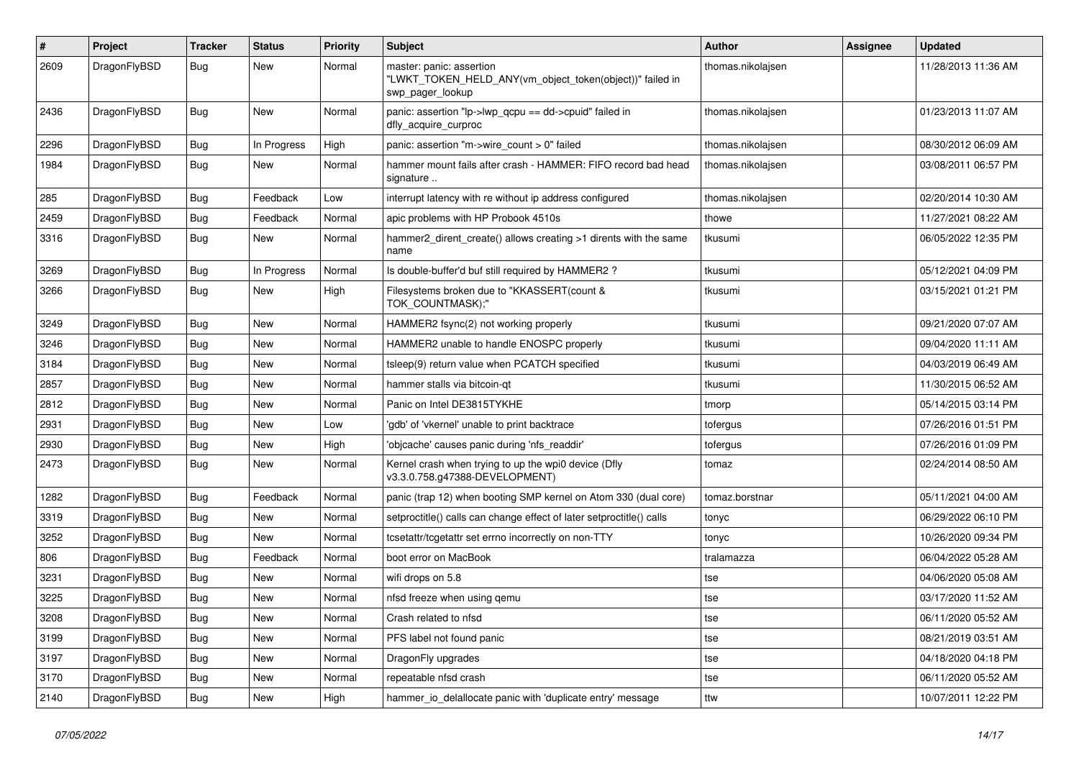| $\#$ | Project      | <b>Tracker</b> | <b>Status</b> | <b>Priority</b> | Subject                                                                                                  | <b>Author</b>     | Assignee | <b>Updated</b>      |
|------|--------------|----------------|---------------|-----------------|----------------------------------------------------------------------------------------------------------|-------------------|----------|---------------------|
| 2609 | DragonFlyBSD | Bug            | New           | Normal          | master: panic: assertion<br>"LWKT TOKEN HELD ANY(vm object token(object))" failed in<br>swp pager lookup | thomas.nikolajsen |          | 11/28/2013 11:36 AM |
| 2436 | DragonFlyBSD | Bug            | New           | Normal          | panic: assertion "lp->lwp_qcpu == dd->cpuid" failed in<br>dfly_acquire_curproc                           | thomas.nikolajsen |          | 01/23/2013 11:07 AM |
| 2296 | DragonFlyBSD | Bug            | In Progress   | High            | panic: assertion "m->wire count > 0" failed                                                              | thomas.nikolajsen |          | 08/30/2012 06:09 AM |
| 1984 | DragonFlyBSD | Bug            | New           | Normal          | hammer mount fails after crash - HAMMER: FIFO record bad head<br>signature                               | thomas.nikolajsen |          | 03/08/2011 06:57 PM |
| 285  | DragonFlyBSD | Bug            | Feedback      | Low             | interrupt latency with re without ip address configured                                                  | thomas.nikolajsen |          | 02/20/2014 10:30 AM |
| 2459 | DragonFlyBSD | <b>Bug</b>     | Feedback      | Normal          | apic problems with HP Probook 4510s                                                                      | thowe             |          | 11/27/2021 08:22 AM |
| 3316 | DragonFlyBSD | <b>Bug</b>     | <b>New</b>    | Normal          | hammer2_dirent_create() allows creating >1 dirents with the same<br>name                                 | tkusumi           |          | 06/05/2022 12:35 PM |
| 3269 | DragonFlyBSD | Bug            | In Progress   | Normal          | Is double-buffer'd buf still required by HAMMER2?                                                        | tkusumi           |          | 05/12/2021 04:09 PM |
| 3266 | DragonFlyBSD | <b>Bug</b>     | New           | High            | Filesystems broken due to "KKASSERT(count &<br>TOK COUNTMASK);"                                          | tkusumi           |          | 03/15/2021 01:21 PM |
| 3249 | DragonFlyBSD | Bug            | <b>New</b>    | Normal          | HAMMER2 fsync(2) not working properly                                                                    | tkusumi           |          | 09/21/2020 07:07 AM |
| 3246 | DragonFlyBSD | <b>Bug</b>     | <b>New</b>    | Normal          | HAMMER2 unable to handle ENOSPC properly                                                                 | tkusumi           |          | 09/04/2020 11:11 AM |
| 3184 | DragonFlyBSD | <b>Bug</b>     | <b>New</b>    | Normal          | tsleep(9) return value when PCATCH specified                                                             | tkusumi           |          | 04/03/2019 06:49 AM |
| 2857 | DragonFlyBSD | <b>Bug</b>     | New           | Normal          | hammer stalls via bitcoin-gt                                                                             | tkusumi           |          | 11/30/2015 06:52 AM |
| 2812 | DragonFlyBSD | <b>Bug</b>     | New           | Normal          | Panic on Intel DE3815TYKHE                                                                               | tmorp             |          | 05/14/2015 03:14 PM |
| 2931 | DragonFlyBSD | Bug            | <b>New</b>    | Low             | 'gdb' of 'vkernel' unable to print backtrace                                                             | tofergus          |          | 07/26/2016 01:51 PM |
| 2930 | DragonFlyBSD | Bug            | <b>New</b>    | High            | 'objcache' causes panic during 'nfs readdir'                                                             | tofergus          |          | 07/26/2016 01:09 PM |
| 2473 | DragonFlyBSD | Bug            | New           | Normal          | Kernel crash when trying to up the wpi0 device (Dfly<br>v3.3.0.758.g47388-DEVELOPMENT)                   | tomaz             |          | 02/24/2014 08:50 AM |
| 1282 | DragonFlyBSD | Bug            | Feedback      | Normal          | panic (trap 12) when booting SMP kernel on Atom 330 (dual core)                                          | tomaz.borstnar    |          | 05/11/2021 04:00 AM |
| 3319 | DragonFlyBSD | Bug            | <b>New</b>    | Normal          | setproctitle() calls can change effect of later setproctitle() calls                                     | tonyc             |          | 06/29/2022 06:10 PM |
| 3252 | DragonFlyBSD | <b>Bug</b>     | New           | Normal          | tcsetattr/tcgetattr set errno incorrectly on non-TTY                                                     | tonyc             |          | 10/26/2020 09:34 PM |
| 806  | DragonFlyBSD | <b>Bug</b>     | Feedback      | Normal          | boot error on MacBook                                                                                    | tralamazza        |          | 06/04/2022 05:28 AM |
| 3231 | DragonFlyBSD | <b>Bug</b>     | <b>New</b>    | Normal          | wifi drops on 5.8                                                                                        | tse               |          | 04/06/2020 05:08 AM |
| 3225 | DragonFlyBSD | Bug            | New           | Normal          | nfsd freeze when using gemu                                                                              | tse               |          | 03/17/2020 11:52 AM |
| 3208 | DragonFlyBSD | Bug            | <b>New</b>    | Normal          | Crash related to nfsd                                                                                    | tse               |          | 06/11/2020 05:52 AM |
| 3199 | DragonFlyBSD | Bug            | New           | Normal          | PFS label not found panic                                                                                | tse               |          | 08/21/2019 03:51 AM |
| 3197 | DragonFlyBSD | <b>Bug</b>     | New           | Normal          | DragonFly upgrades                                                                                       | tse               |          | 04/18/2020 04:18 PM |
| 3170 | DragonFlyBSD | <b>Bug</b>     | New           | Normal          | repeatable nfsd crash                                                                                    | tse               |          | 06/11/2020 05:52 AM |
| 2140 | DragonFlyBSD | <b>Bug</b>     | New           | High            | hammer_io_delallocate panic with 'duplicate entry' message                                               | ttw               |          | 10/07/2011 12:22 PM |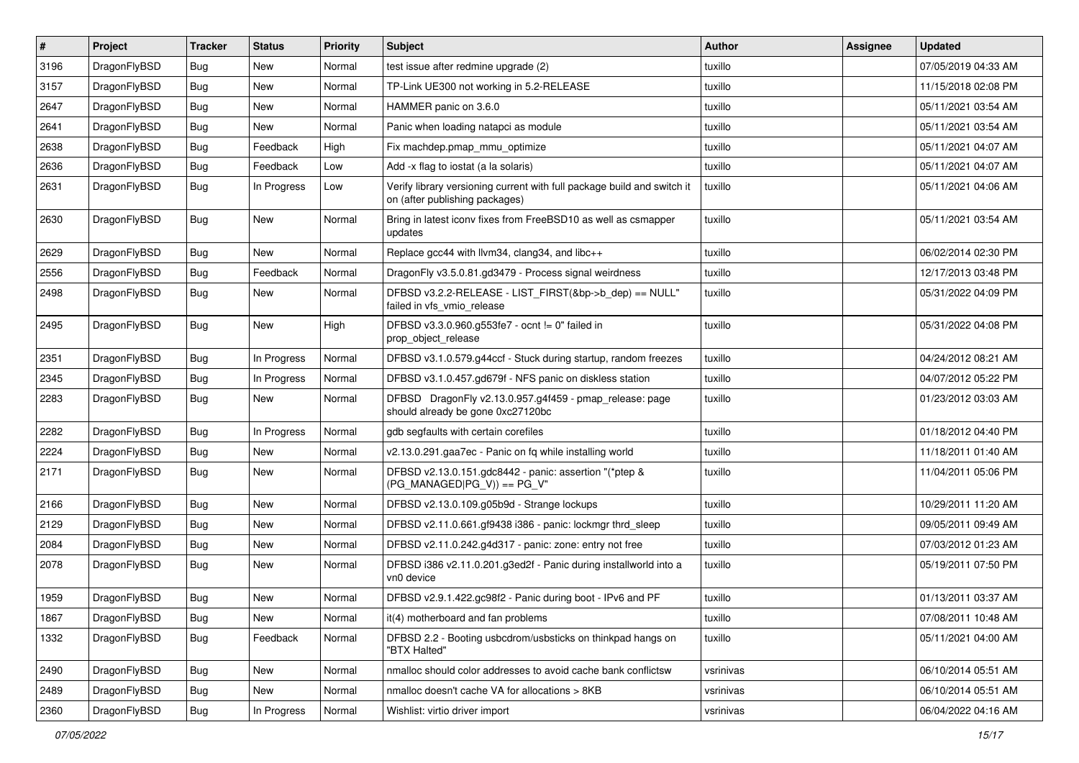| $\vert$ # | Project      | <b>Tracker</b> | <b>Status</b> | <b>Priority</b> | Subject                                                                                                   | <b>Author</b> | <b>Assignee</b> | <b>Updated</b>      |
|-----------|--------------|----------------|---------------|-----------------|-----------------------------------------------------------------------------------------------------------|---------------|-----------------|---------------------|
| 3196      | DragonFlyBSD | Bug            | <b>New</b>    | Normal          | test issue after redmine upgrade (2)                                                                      | tuxillo       |                 | 07/05/2019 04:33 AM |
| 3157      | DragonFlyBSD | Bug            | <b>New</b>    | Normal          | TP-Link UE300 not working in 5.2-RELEASE                                                                  | tuxillo       |                 | 11/15/2018 02:08 PM |
| 2647      | DragonFlyBSD | <b>Bug</b>     | <b>New</b>    | Normal          | HAMMER panic on 3.6.0                                                                                     | tuxillo       |                 | 05/11/2021 03:54 AM |
| 2641      | DragonFlyBSD | Bug            | <b>New</b>    | Normal          | Panic when loading natapci as module                                                                      | tuxillo       |                 | 05/11/2021 03:54 AM |
| 2638      | DragonFlyBSD | Bug            | Feedback      | High            | Fix machdep.pmap_mmu_optimize                                                                             | tuxillo       |                 | 05/11/2021 04:07 AM |
| 2636      | DragonFlyBSD | <b>Bug</b>     | Feedback      | Low             | Add -x flag to iostat (a la solaris)                                                                      | tuxillo       |                 | 05/11/2021 04:07 AM |
| 2631      | DragonFlyBSD | Bug            | In Progress   | Low             | Verify library versioning current with full package build and switch it<br>on (after publishing packages) | tuxillo       |                 | 05/11/2021 04:06 AM |
| 2630      | DragonFlyBSD | Bug            | New           | Normal          | Bring in latest iconv fixes from FreeBSD10 as well as csmapper<br>updates                                 | tuxillo       |                 | 05/11/2021 03:54 AM |
| 2629      | DragonFlyBSD | <b>Bug</b>     | New           | Normal          | Replace gcc44 with llvm34, clang34, and libc++                                                            | tuxillo       |                 | 06/02/2014 02:30 PM |
| 2556      | DragonFlyBSD | <b>Bug</b>     | Feedback      | Normal          | DragonFly v3.5.0.81.gd3479 - Process signal weirdness                                                     | tuxillo       |                 | 12/17/2013 03:48 PM |
| 2498      | DragonFlyBSD | Bug            | <b>New</b>    | Normal          | DFBSD v3.2.2-RELEASE - LIST FIRST(&bp->b dep) == NULL"<br>failed in vfs vmio release                      | tuxillo       |                 | 05/31/2022 04:09 PM |
| 2495      | DragonFlyBSD | <b>Bug</b>     | New           | High            | DFBSD v3.3.0.960.g553fe7 - ocnt != 0" failed in<br>prop_object_release                                    | tuxillo       |                 | 05/31/2022 04:08 PM |
| 2351      | DragonFlyBSD | <b>Bug</b>     | In Progress   | Normal          | DFBSD v3.1.0.579.g44ccf - Stuck during startup, random freezes                                            | tuxillo       |                 | 04/24/2012 08:21 AM |
| 2345      | DragonFlyBSD | Bug            | In Progress   | Normal          | DFBSD v3.1.0.457.gd679f - NFS panic on diskless station                                                   | tuxillo       |                 | 04/07/2012 05:22 PM |
| 2283      | DragonFlyBSD | <b>Bug</b>     | New           | Normal          | DFBSD DragonFly v2.13.0.957.g4f459 - pmap_release: page<br>should already be gone 0xc27120bc              | tuxillo       |                 | 01/23/2012 03:03 AM |
| 2282      | DragonFlyBSD | <b>Bug</b>     | In Progress   | Normal          | gdb segfaults with certain corefiles                                                                      | tuxillo       |                 | 01/18/2012 04:40 PM |
| 2224      | DragonFlyBSD | <b>Bug</b>     | <b>New</b>    | Normal          | v2.13.0.291.gaa7ec - Panic on fq while installing world                                                   | tuxillo       |                 | 11/18/2011 01:40 AM |
| 2171      | DragonFlyBSD | Bug            | New           | Normal          | DFBSD v2.13.0.151.gdc8442 - panic: assertion "(*ptep &<br>$(PG_MANAGED PG_V)) == PG_V"$                   | tuxillo       |                 | 11/04/2011 05:06 PM |
| 2166      | DragonFlyBSD | <b>Bug</b>     | <b>New</b>    | Normal          | DFBSD v2.13.0.109.g05b9d - Strange lockups                                                                | tuxillo       |                 | 10/29/2011 11:20 AM |
| 2129      | DragonFlyBSD | Bug            | <b>New</b>    | Normal          | DFBSD v2.11.0.661.gf9438 i386 - panic: lockmgr thrd_sleep                                                 | tuxillo       |                 | 09/05/2011 09:49 AM |
| 2084      | DragonFlyBSD | <b>Bug</b>     | New           | Normal          | DFBSD v2.11.0.242.g4d317 - panic: zone: entry not free                                                    | tuxillo       |                 | 07/03/2012 01:23 AM |
| 2078      | DragonFlyBSD | Bug            | <b>New</b>    | Normal          | DFBSD i386 v2.11.0.201.g3ed2f - Panic during installworld into a<br>vn0 device                            | tuxillo       |                 | 05/19/2011 07:50 PM |
| 1959      | DragonFlyBSD | <b>Bug</b>     | <b>New</b>    | Normal          | DFBSD v2.9.1.422.gc98f2 - Panic during boot - IPv6 and PF                                                 | tuxillo       |                 | 01/13/2011 03:37 AM |
| 1867      | DragonFlyBSD | <b>Bug</b>     | New           | Normal          | it(4) motherboard and fan problems                                                                        | tuxillo       |                 | 07/08/2011 10:48 AM |
| 1332      | DragonFlyBSD | <b>Bug</b>     | Feedback      | Normal          | DFBSD 2.2 - Booting usbcdrom/usbsticks on thinkpad hangs on<br>"BTX Halted"                               | tuxillo       |                 | 05/11/2021 04:00 AM |
| 2490      | DragonFlyBSD | Bug            | New           | Normal          | nmalloc should color addresses to avoid cache bank conflictsw                                             | vsrinivas     |                 | 06/10/2014 05:51 AM |
| 2489      | DragonFlyBSD | <b>Bug</b>     | New           | Normal          | nmalloc doesn't cache VA for allocations > 8KB                                                            | vsrinivas     |                 | 06/10/2014 05:51 AM |
| 2360      | DragonFlyBSD | Bug            | In Progress   | Normal          | Wishlist: virtio driver import                                                                            | vsrinivas     |                 | 06/04/2022 04:16 AM |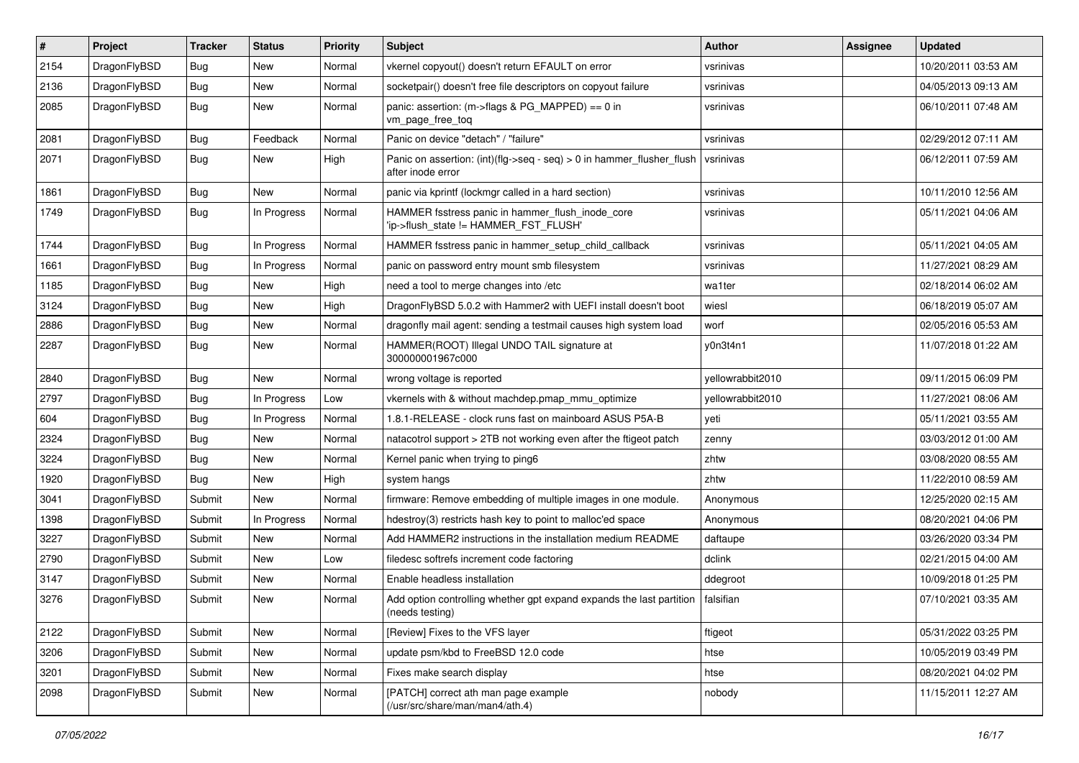| $\sharp$ | Project      | <b>Tracker</b> | <b>Status</b> | <b>Priority</b> | Subject                                                                                    | <b>Author</b>    | Assignee | <b>Updated</b>      |
|----------|--------------|----------------|---------------|-----------------|--------------------------------------------------------------------------------------------|------------------|----------|---------------------|
| 2154     | DragonFlyBSD | <b>Bug</b>     | <b>New</b>    | Normal          | vkernel copyout() doesn't return EFAULT on error                                           | vsrinivas        |          | 10/20/2011 03:53 AM |
| 2136     | DragonFlyBSD | <b>Bug</b>     | <b>New</b>    | Normal          | socketpair() doesn't free file descriptors on copyout failure                              | vsrinivas        |          | 04/05/2013 09:13 AM |
| 2085     | DragonFlyBSD | Bug            | New           | Normal          | panic: assertion: (m->flags & PG_MAPPED) == 0 in<br>vm_page_free_toq                       | vsrinivas        |          | 06/10/2011 07:48 AM |
| 2081     | DragonFlyBSD | Bug            | Feedback      | Normal          | Panic on device "detach" / "failure"                                                       | vsrinivas        |          | 02/29/2012 07:11 AM |
| 2071     | DragonFlyBSD | Bug            | <b>New</b>    | High            | Panic on assertion: (int)(flg->seq - seq) > 0 in hammer_flusher_flush<br>after inode error | vsrinivas        |          | 06/12/2011 07:59 AM |
| 1861     | DragonFlyBSD | Bug            | <b>New</b>    | Normal          | panic via kprintf (lockmgr called in a hard section)                                       | vsrinivas        |          | 10/11/2010 12:56 AM |
| 1749     | DragonFlyBSD | Bug            | In Progress   | Normal          | HAMMER fsstress panic in hammer_flush_inode_core<br>'ip->flush_state != HAMMER_FST_FLUSH'  | vsrinivas        |          | 05/11/2021 04:06 AM |
| 1744     | DragonFlyBSD | <b>Bug</b>     | In Progress   | Normal          | HAMMER fsstress panic in hammer_setup_child_callback                                       | vsrinivas        |          | 05/11/2021 04:05 AM |
| 1661     | DragonFlyBSD | Bug            | In Progress   | Normal          | panic on password entry mount smb filesystem                                               | vsrinivas        |          | 11/27/2021 08:29 AM |
| 1185     | DragonFlyBSD | Bug            | <b>New</b>    | High            | need a tool to merge changes into /etc                                                     | wa1ter           |          | 02/18/2014 06:02 AM |
| 3124     | DragonFlyBSD | Bug            | <b>New</b>    | High            | DragonFlyBSD 5.0.2 with Hammer2 with UEFI install doesn't boot                             | wiesl            |          | 06/18/2019 05:07 AM |
| 2886     | DragonFlyBSD | Bug            | New           | Normal          | dragonfly mail agent: sending a testmail causes high system load                           | worf             |          | 02/05/2016 05:53 AM |
| 2287     | DragonFlyBSD | Bug            | <b>New</b>    | Normal          | HAMMER(ROOT) Illegal UNDO TAIL signature at<br>300000001967c000                            | y0n3t4n1         |          | 11/07/2018 01:22 AM |
| 2840     | DragonFlyBSD | Bug            | <b>New</b>    | Normal          | wrong voltage is reported                                                                  | yellowrabbit2010 |          | 09/11/2015 06:09 PM |
| 2797     | DragonFlyBSD | Bug            | In Progress   | Low             | vkernels with & without machdep.pmap mmu optimize                                          | yellowrabbit2010 |          | 11/27/2021 08:06 AM |
| 604      | DragonFlyBSD | Bug            | In Progress   | Normal          | 1.8.1-RELEASE - clock runs fast on mainboard ASUS P5A-B                                    | yeti             |          | 05/11/2021 03:55 AM |
| 2324     | DragonFlyBSD | Bug            | New           | Normal          | natacotrol support > 2TB not working even after the ftigeot patch                          | zenny            |          | 03/03/2012 01:00 AM |
| 3224     | DragonFlyBSD | Bug            | <b>New</b>    | Normal          | Kernel panic when trying to ping6                                                          | zhtw             |          | 03/08/2020 08:55 AM |
| 1920     | DragonFlyBSD | Bug            | New           | High            | system hangs                                                                               | zhtw             |          | 11/22/2010 08:59 AM |
| 3041     | DragonFlyBSD | Submit         | New           | Normal          | firmware: Remove embedding of multiple images in one module.                               | Anonymous        |          | 12/25/2020 02:15 AM |
| 1398     | DragonFlyBSD | Submit         | In Progress   | Normal          | hdestroy(3) restricts hash key to point to malloc'ed space                                 | Anonymous        |          | 08/20/2021 04:06 PM |
| 3227     | DragonFlyBSD | Submit         | <b>New</b>    | Normal          | Add HAMMER2 instructions in the installation medium README                                 | daftaupe         |          | 03/26/2020 03:34 PM |
| 2790     | DragonFlyBSD | Submit         | New           | Low             | filedesc softrefs increment code factoring                                                 | dclink           |          | 02/21/2015 04:00 AM |
| 3147     | DragonFlyBSD | Submit         | <b>New</b>    | Normal          | Enable headless installation                                                               | ddegroot         |          | 10/09/2018 01:25 PM |
| 3276     | DragonFlyBSD | Submit         | New           | Normal          | Add option controlling whether gpt expand expands the last partition<br>(needs testing)    | falsifian        |          | 07/10/2021 03:35 AM |
| 2122     | DragonFlyBSD | Submit         | New           | Normal          | [Review] Fixes to the VFS layer                                                            | ftigeot          |          | 05/31/2022 03:25 PM |
| 3206     | DragonFlyBSD | Submit         | <b>New</b>    | Normal          | update psm/kbd to FreeBSD 12.0 code                                                        | htse             |          | 10/05/2019 03:49 PM |
| 3201     | DragonFlyBSD | Submit         | <b>New</b>    | Normal          | Fixes make search display                                                                  | htse             |          | 08/20/2021 04:02 PM |
| 2098     | DragonFlyBSD | Submit         | New           | Normal          | [PATCH] correct ath man page example<br>(/usr/src/share/man/man4/ath.4)                    | nobody           |          | 11/15/2011 12:27 AM |